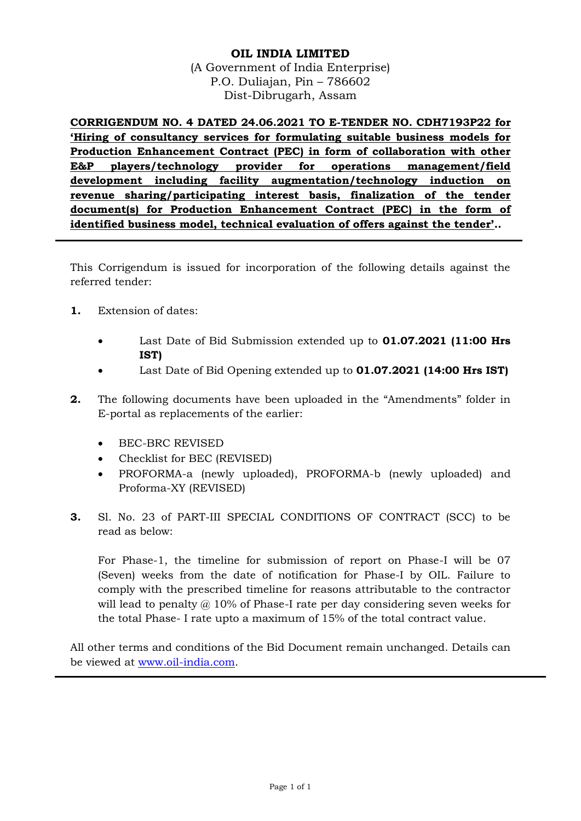#### **OIL INDIA LIMITED**

(A Government of India Enterprise) P.O. Duliajan, Pin – 786602 Dist-Dibrugarh, Assam

**CORRIGENDUM NO. 4 DATED 24.06.2021 TO E-TENDER NO. CDH7193P22 for 'Hiring of consultancy services for formulating suitable business models for Production Enhancement Contract (PEC) in form of collaboration with other E&P players/technology provider for operations management/field development including facility augmentation/technology induction on revenue sharing/participating interest basis, finalization of the tender document(s) for Production Enhancement Contract (PEC) in the form of identified business model, technical evaluation of offers against the tender'..**

This Corrigendum is issued for incorporation of the following details against the referred tender:

- **1.** Extension of dates:
	- Last Date of Bid Submission extended up to **01.07.2021 (11:00 Hrs IST)**
	- Last Date of Bid Opening extended up to **01.07.2021 (14:00 Hrs IST)**
- **2.** The following documents have been uploaded in the "Amendments" folder in E-portal as replacements of the earlier:
	- BEC-BRC REVISED
	- Checklist for BEC (REVISED)
	- PROFORMA-a (newly uploaded), PROFORMA-b (newly uploaded) and Proforma-XY (REVISED)
- **3.** Sl. No. 23 of PART-III SPECIAL CONDITIONS OF CONTRACT (SCC) to be read as below:

For Phase-1, the timeline for submission of report on Phase-I will be 07 (Seven) weeks from the date of notification for Phase-I by OIL. Failure to comply with the prescribed timeline for reasons attributable to the contractor will lead to penalty  $\omega$  10% of Phase-I rate per day considering seven weeks for the total Phase- I rate upto a maximum of 15% of the total contract value.

All other terms and conditions of the Bid Document remain unchanged. Details can be viewed at [www.oil-india.com.](http://www.oil-india.com/)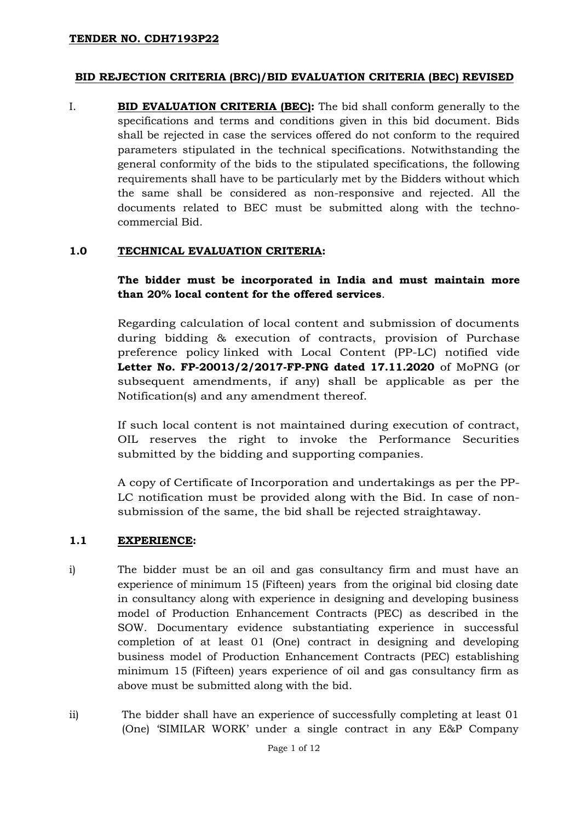#### **BID REJECTION CRITERIA (BRC)/BID EVALUATION CRITERIA (BEC) REVISED**

I. **BID EVALUATION CRITERIA (BEC):** The bid shall conform generally to the specifications and terms and conditions given in this bid document. Bids shall be rejected in case the services offered do not conform to the required parameters stipulated in the technical specifications. Notwithstanding the general conformity of the bids to the stipulated specifications, the following requirements shall have to be particularly met by the Bidders without which the same shall be considered as non-responsive and rejected. All the documents related to BEC must be submitted along with the technocommercial Bid.

#### **1.0 TECHNICAL EVALUATION CRITERIA:**

**The bidder must be incorporated in India and must maintain more than 20% local content for the offered services**.

Regarding calculation of local content and submission of documents during bidding & execution of contracts, provision of Purchase preference policy linked with Local Content (PP-LC) notified vide **Letter No. FP-20013/2/2017-FP-PNG dated 17.11.2020** of MoPNG (or subsequent amendments, if any) shall be applicable as per the Notification(s) and any amendment thereof.

If such local content is not maintained during execution of contract, OIL reserves the right to invoke the Performance Securities submitted by the bidding and supporting companies.

A copy of Certificate of Incorporation and undertakings as per the PP-LC notification must be provided along with the Bid. In case of nonsubmission of the same, the bid shall be rejected straightaway.

#### **1.1 EXPERIENCE:**

- i) The bidder must be an oil and gas consultancy firm and must have an experience of minimum 15 (Fifteen) years from the original bid closing date in consultancy along with experience in designing and developing business model of Production Enhancement Contracts (PEC) as described in the SOW. Documentary evidence substantiating experience in successful completion of at least 01 (One) contract in designing and developing business model of Production Enhancement Contracts (PEC) establishing minimum 15 (Fifteen) years experience of oil and gas consultancy firm as above must be submitted along with the bid.
- ii) The bidder shall have an experience of successfully completing at least 01 (One) 'SIMILAR WORK' under a single contract in any E&P Company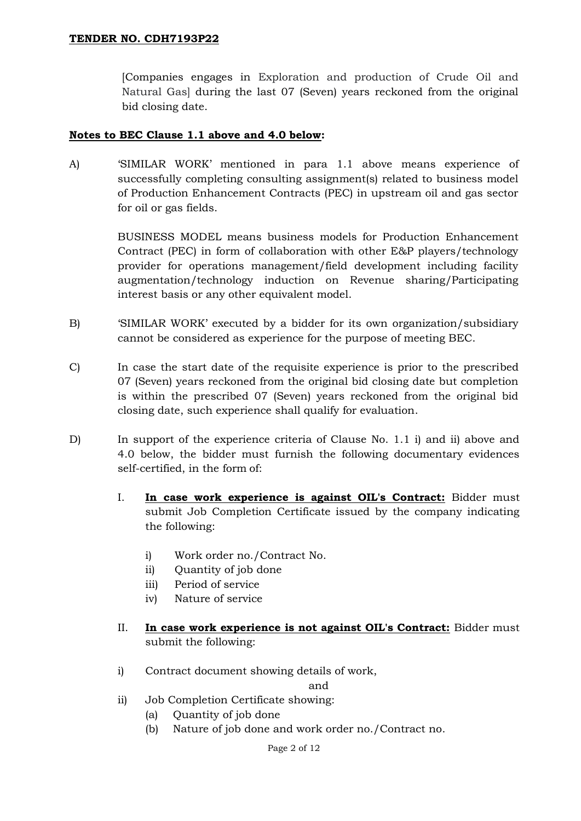[Companies engages in Exploration and production of Crude Oil and Natural Gas] during the last 07 (Seven) years reckoned from the original bid closing date.

#### **Notes to BEC Clause 1.1 above and 4.0 below:**

A) 'SIMILAR WORK' mentioned in para 1.1 above means experience of successfully completing consulting assignment(s) related to business model of Production Enhancement Contracts (PEC) in upstream oil and gas sector for oil or gas fields.

> BUSINESS MODEL means business models for Production Enhancement Contract (PEC) in form of collaboration with other E&P players/technology provider for operations management/field development including facility augmentation/technology induction on Revenue sharing/Participating interest basis or any other equivalent model.

- B) 'SIMILAR WORK' executed by a bidder for its own organization/subsidiary cannot be considered as experience for the purpose of meeting BEC.
- C) In case the start date of the requisite experience is prior to the prescribed 07 (Seven) years reckoned from the original bid closing date but completion is within the prescribed 07 (Seven) years reckoned from the original bid closing date, such experience shall qualify for evaluation.
- D) In support of the experience criteria of Clause No. 1.1 i) and ii) above and 4.0 below, the bidder must furnish the following documentary evidences self-certified, in the form of:
	- I. **In case work experience is against OIL's Contract:** Bidder must submit Job Completion Certificate issued by the company indicating the following:
		- i) Work order no./Contract No.
		- ii) Quantity of job done
		- iii) Period of service
		- iv) Nature of service
	- II. **In case work experience is not against OIL's Contract:** Bidder must submit the following:
	- i) Contract document showing details of work,

and

- ii) Job Completion Certificate showing:
	- (a) Quantity of job done
	- (b) Nature of job done and work order no./Contract no.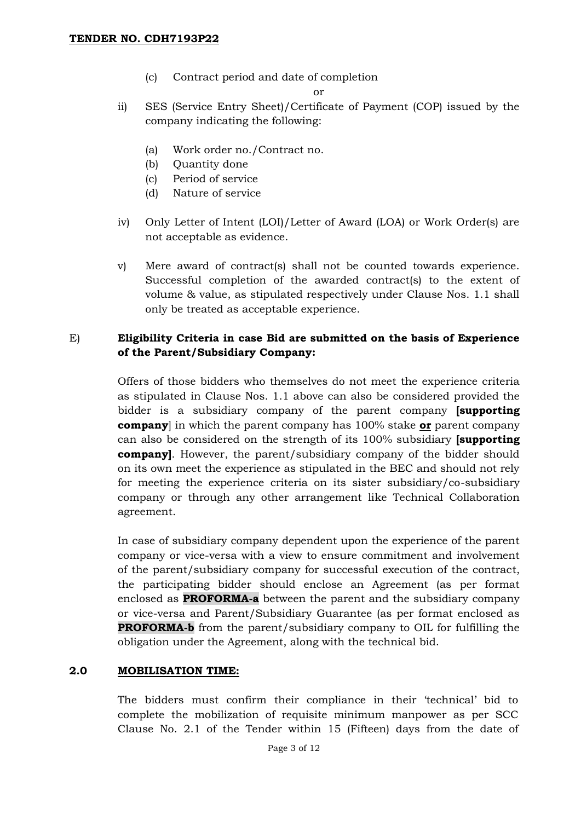(c) Contract period and date of completion

or

- ii) SES (Service Entry Sheet)/Certificate of Payment (COP) issued by the company indicating the following:
	- (a) Work order no./Contract no.
	- (b) Quantity done
	- (c) Period of service
	- (d) Nature of service
- iv) Only Letter of Intent (LOI)/Letter of Award (LOA) or Work Order(s) are not acceptable as evidence.
- v) Mere award of contract(s) shall not be counted towards experience. Successful completion of the awarded contract(s) to the extent of volume & value, as stipulated respectively under Clause Nos. 1.1 shall only be treated as acceptable experience.

## E) **Eligibility Criteria in case Bid are submitted on the basis of Experience of the Parent/Subsidiary Company:**

Offers of those bidders who themselves do not meet the experience criteria as stipulated in Clause Nos. 1.1 above can also be considered provided the bidder is a subsidiary company of the parent company **[supporting company**] in which the parent company has 100% stake **or** parent company can also be considered on the strength of its 100% subsidiary **[supporting company]**. However, the parent/subsidiary company of the bidder should on its own meet the experience as stipulated in the BEC and should not rely for meeting the experience criteria on its sister subsidiary/co-subsidiary company or through any other arrangement like Technical Collaboration agreement.

In case of subsidiary company dependent upon the experience of the parent company or vice-versa with a view to ensure commitment and involvement of the parent/subsidiary company for successful execution of the contract, the participating bidder should enclose an Agreement (as per format enclosed as **PROFORMA-a** between the parent and the subsidiary company or vice-versa and Parent/Subsidiary Guarantee (as per format enclosed as **PROFORMA-b** from the parent/subsidiary company to OIL for fulfilling the obligation under the Agreement, along with the technical bid.

## **2.0 MOBILISATION TIME:**

The bidders must confirm their compliance in their 'technical' bid to complete the mobilization of requisite minimum manpower as per SCC Clause No. 2.1 of the Tender within 15 (Fifteen) days from the date of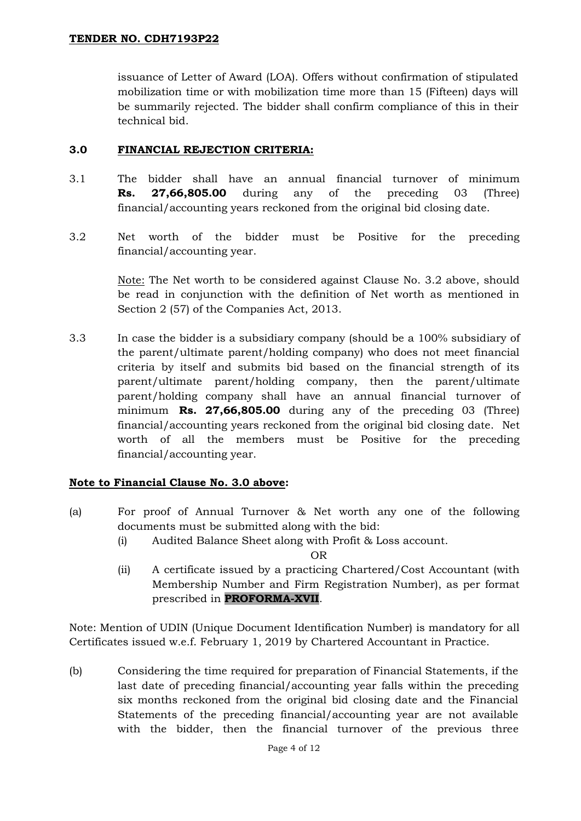issuance of Letter of Award (LOA). Offers without confirmation of stipulated mobilization time or with mobilization time more than 15 (Fifteen) days will be summarily rejected. The bidder shall confirm compliance of this in their technical bid.

### **3.0 FINANCIAL REJECTION CRITERIA:**

- 3.1 The bidder shall have an annual financial turnover of minimum **Rs. 27,66,805.00** during any of the preceding 03 (Three) financial/accounting years reckoned from the original bid closing date.
- 3.2 Net worth of the bidder must be Positive for the preceding financial/accounting year.

Note: The Net worth to be considered against Clause No. 3.2 above, should be read in conjunction with the definition of Net worth as mentioned in Section 2 (57) of the Companies Act, 2013.

3.3 In case the bidder is a subsidiary company (should be a 100% subsidiary of the parent/ultimate parent/holding company) who does not meet financial criteria by itself and submits bid based on the financial strength of its parent/ultimate parent/holding company, then the parent/ultimate parent/holding company shall have an annual financial turnover of minimum **Rs. 27,66,805.00** during any of the preceding 03 (Three) financial/accounting years reckoned from the original bid closing date. Net worth of all the members must be Positive for the preceding financial/accounting year.

## **Note to Financial Clause No. 3.0 above:**

- (a) For proof of Annual Turnover & Net worth any one of the following documents must be submitted along with the bid:
	- (i) Audited Balance Sheet along with Profit & Loss account.

OR

(ii) A certificate issued by a practicing Chartered/Cost Accountant (with Membership Number and Firm Registration Number), as per format prescribed in **PROFORMA-XVII**.

Note: Mention of UDIN (Unique Document Identification Number) is mandatory for all Certificates issued w.e.f. February 1, 2019 by Chartered Accountant in Practice.

(b) Considering the time required for preparation of Financial Statements, if the last date of preceding financial/accounting year falls within the preceding six months reckoned from the original bid closing date and the Financial Statements of the preceding financial/accounting year are not available with the bidder, then the financial turnover of the previous three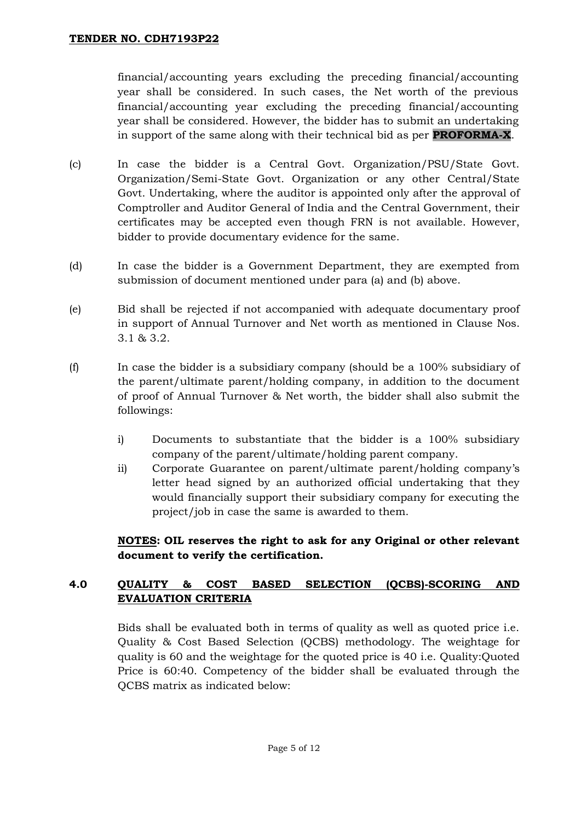financial/accounting years excluding the preceding financial/accounting year shall be considered. In such cases, the Net worth of the previous financial/accounting year excluding the preceding financial/accounting year shall be considered. However, the bidder has to submit an undertaking in support of the same along with their technical bid as per **PROFORMA-X**.

- (c) In case the bidder is a Central Govt. Organization/PSU/State Govt. Organization/Semi-State Govt. Organization or any other Central/State Govt. Undertaking, where the auditor is appointed only after the approval of Comptroller and Auditor General of India and the Central Government, their certificates may be accepted even though FRN is not available. However, bidder to provide documentary evidence for the same.
- (d) In case the bidder is a Government Department, they are exempted from submission of document mentioned under para (a) and (b) above.
- (e) Bid shall be rejected if not accompanied with adequate documentary proof in support of Annual Turnover and Net worth as mentioned in Clause Nos. 3.1 & 3.2.
- (f) In case the bidder is a subsidiary company (should be a 100% subsidiary of the parent/ultimate parent/holding company, in addition to the document of proof of Annual Turnover & Net worth, the bidder shall also submit the followings:
	- i) Documents to substantiate that the bidder is a 100% subsidiary company of the parent/ultimate/holding parent company.
	- ii) Corporate Guarantee on parent/ultimate parent/holding company's letter head signed by an authorized official undertaking that they would financially support their subsidiary company for executing the project/job in case the same is awarded to them.

**NOTES: OIL reserves the right to ask for any Original or other relevant document to verify the certification.**

# **4.0 QUALITY & COST BASED SELECTION (QCBS)-SCORING AND EVALUATION CRITERIA**

Bids shall be evaluated both in terms of quality as well as quoted price i.e. Quality & Cost Based Selection (QCBS) methodology. The weightage for quality is 60 and the weightage for the quoted price is 40 i.e. Quality:Quoted Price is 60:40. Competency of the bidder shall be evaluated through the QCBS matrix as indicated below: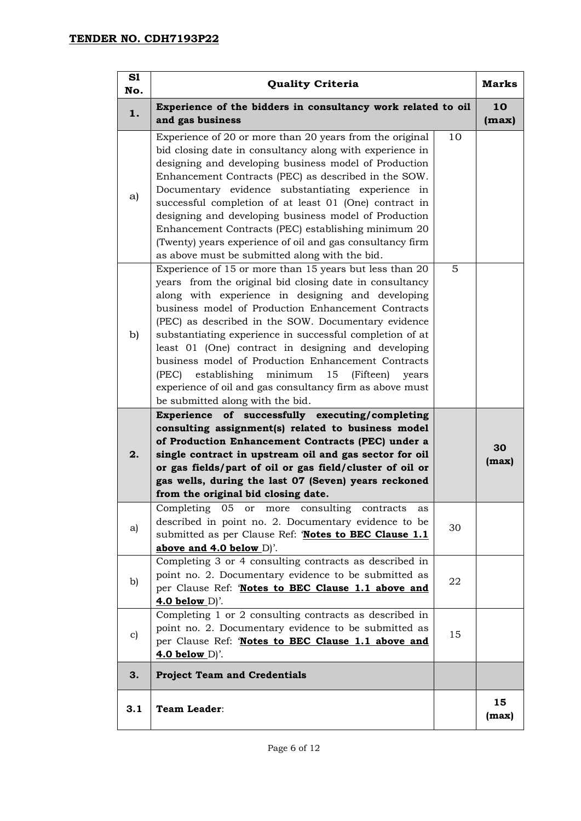| S1<br>No.     | <b>Quality Criteria</b>                                                                                                                                                                                                                                                                                                                                                                                                                                                                                                                                                                                                    |    | <b>Marks</b> |
|---------------|----------------------------------------------------------------------------------------------------------------------------------------------------------------------------------------------------------------------------------------------------------------------------------------------------------------------------------------------------------------------------------------------------------------------------------------------------------------------------------------------------------------------------------------------------------------------------------------------------------------------------|----|--------------|
| 1.            | Experience of the bidders in consultancy work related to oil<br>and gas business                                                                                                                                                                                                                                                                                                                                                                                                                                                                                                                                           |    | 10<br>(max)  |
| a)            | Experience of 20 or more than 20 years from the original<br>bid closing date in consultancy along with experience in<br>designing and developing business model of Production<br>Enhancement Contracts (PEC) as described in the SOW.<br>Documentary evidence substantiating experience in<br>successful completion of at least 01 (One) contract in<br>designing and developing business model of Production<br>Enhancement Contracts (PEC) establishing minimum 20<br>(Twenty) years experience of oil and gas consultancy firm<br>as above must be submitted along with the bid.                                        | 10 |              |
| b)            | Experience of 15 or more than 15 years but less than 20<br>years from the original bid closing date in consultancy<br>along with experience in designing and developing<br>business model of Production Enhancement Contracts<br>(PEC) as described in the SOW. Documentary evidence<br>substantiating experience in successful completion of at<br>least 01 (One) contract in designing and developing<br>business model of Production Enhancement Contracts<br>(PEC)<br>establishing minimum<br>15<br>(Fifteen)<br>years<br>experience of oil and gas consultancy firm as above must<br>be submitted along with the bid. | 5  |              |
| 2.            | Experience of successfully executing/completing<br>consulting assignment(s) related to business model<br>of Production Enhancement Contracts (PEC) under a<br>single contract in upstream oil and gas sector for oil<br>or gas fields/part of oil or gas field/cluster of oil or<br>gas wells, during the last 07 (Seven) years reckoned<br>from the original bid closing date.                                                                                                                                                                                                                                            |    | 30<br>(max)  |
| a)            | Completing 05 or more consulting<br>contracts<br>as<br>described in point no. 2. Documentary evidence to be<br>submitted as per Clause Ref: 'Notes to BEC Clause 1.1<br>above and $4.0$ below $D$ .                                                                                                                                                                                                                                                                                                                                                                                                                        | 30 |              |
| b)            | Completing 3 or 4 consulting contracts as described in<br>point no. 2. Documentary evidence to be submitted as<br>per Clause Ref: 'Notes to BEC Clause 1.1 above and<br>$4.0$ below $D$ .                                                                                                                                                                                                                                                                                                                                                                                                                                  | 22 |              |
| $\mathbf{c})$ | Completing 1 or 2 consulting contracts as described in<br>point no. 2. Documentary evidence to be submitted as<br>per Clause Ref: 'Notes to BEC Clause 1.1 above and<br>$4.0$ below $D$ .                                                                                                                                                                                                                                                                                                                                                                                                                                  | 15 |              |
| 3.            | <b>Project Team and Credentials</b>                                                                                                                                                                                                                                                                                                                                                                                                                                                                                                                                                                                        |    |              |
| 3.1           | <b>Team Leader:</b>                                                                                                                                                                                                                                                                                                                                                                                                                                                                                                                                                                                                        |    | 15<br>(max)  |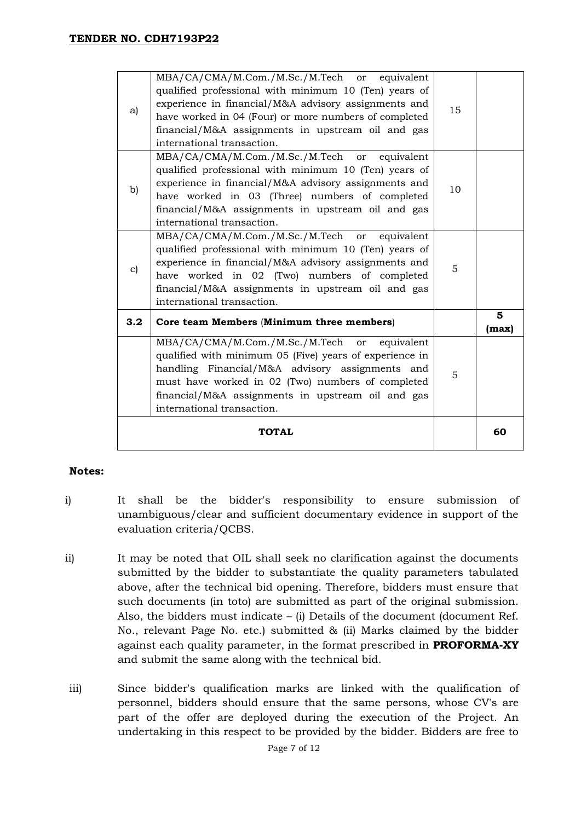|              | <b>TOTAL</b>                                                                                                                                                                                                                                                                                              |    | 60         |
|--------------|-----------------------------------------------------------------------------------------------------------------------------------------------------------------------------------------------------------------------------------------------------------------------------------------------------------|----|------------|
|              | MBA/CA/CMA/M.Com./M.Sc./M.Tech or equivalent<br>qualified with minimum 05 (Five) years of experience in<br>handling Financial/M&A advisory assignments and<br>must have worked in 02 (Two) numbers of completed<br>financial/M&A assignments in upstream oil and gas<br>international transaction.        | 5  |            |
| 3.2          | Core team Members (Minimum three members)                                                                                                                                                                                                                                                                 |    | 5<br>(max) |
| $\mathbf{c}$ | MBA/CA/CMA/M.Com./M.Sc./M.Tech or equivalent<br>qualified professional with minimum 10 (Ten) years of<br>experience in financial/M&A advisory assignments and<br>have worked in 02 (Two) numbers of completed<br>financial/M&A assignments in upstream oil and gas<br>international transaction.          | 5  |            |
| b)           | MBA/CA/CMA/M.Com./M.Sc./M.Tech or equivalent<br>qualified professional with minimum 10 (Ten) years of<br>experience in financial/M&A advisory assignments and<br>have worked in 03 (Three) numbers of completed<br>financial/M&A assignments in upstream oil and gas<br>international transaction.        | 10 |            |
| a)           | MBA/CA/CMA/M.Com./M.Sc./M.Tech or equivalent<br>qualified professional with minimum 10 (Ten) years of<br>experience in financial/M&A advisory assignments and<br>have worked in 04 (Four) or more numbers of completed<br>financial/M&A assignments in upstream oil and gas<br>international transaction. | 15 |            |

#### **Notes:**

- i) It shall be the bidder's responsibility to ensure submission of unambiguous/clear and sufficient documentary evidence in support of the evaluation criteria/QCBS.
- ii) It may be noted that OIL shall seek no clarification against the documents submitted by the bidder to substantiate the quality parameters tabulated above, after the technical bid opening. Therefore, bidders must ensure that such documents (in toto) are submitted as part of the original submission. Also, the bidders must indicate – (i) Details of the document (document Ref. No., relevant Page No. etc.) submitted & (ii) Marks claimed by the bidder against each quality parameter, in the format prescribed in **PROFORMA-XY** and submit the same along with the technical bid.
- iii) Since bidder's qualification marks are linked with the qualification of personnel, bidders should ensure that the same persons, whose CV's are part of the offer are deployed during the execution of the Project. An undertaking in this respect to be provided by the bidder. Bidders are free to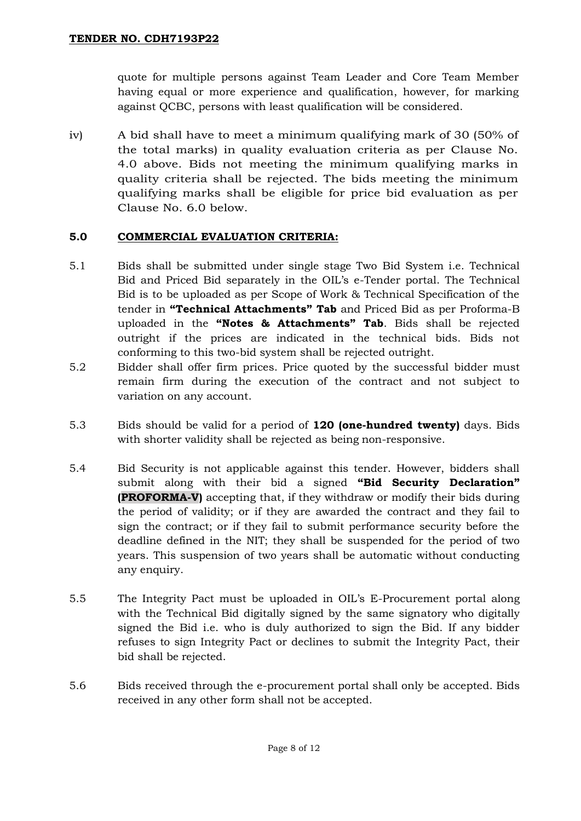quote for multiple persons against Team Leader and Core Team Member having equal or more experience and qualification, however, for marking against QCBC, persons with least qualification will be considered.

iv) A bid shall have to meet a minimum qualifying mark of 30 (50% of the total marks) in quality evaluation criteria as per Clause No. 4.0 above. Bids not meeting the minimum qualifying marks in quality criteria shall be rejected. The bids meeting the minimum qualifying marks shall be eligible for price bid evaluation as per Clause No. 6.0 below.

# **5.0 COMMERCIAL EVALUATION CRITERIA:**

- 5.1 Bids shall be submitted under single stage Two Bid System i.e. Technical Bid and Priced Bid separately in the OIL's e-Tender portal. The Technical Bid is to be uploaded as per Scope of Work & Technical Specification of the tender in **"Technical Attachments" Tab** and Priced Bid as per Proforma-B uploaded in the **"Notes & Attachments" Tab**. Bids shall be rejected outright if the prices are indicated in the technical bids. Bids not conforming to this two-bid system shall be rejected outright.
- 5.2 Bidder shall offer firm prices. Price quoted by the successful bidder must remain firm during the execution of the contract and not subject to variation on any account.
- 5.3 Bids should be valid for a period of **120 (one-hundred twenty)** days. Bids with shorter validity shall be rejected as being non-responsive.
- 5.4 Bid Security is not applicable against this tender. However, bidders shall submit along with their bid a signed **"Bid Security Declaration" (PROFORMA-V)** accepting that, if they withdraw or modify their bids during the period of validity; or if they are awarded the contract and they fail to sign the contract; or if they fail to submit performance security before the deadline defined in the NIT; they shall be suspended for the period of two years. This suspension of two years shall be automatic without conducting any enquiry.
- 5.5 The Integrity Pact must be uploaded in OIL's E-Procurement portal along with the Technical Bid digitally signed by the same signatory who digitally signed the Bid i.e. who is duly authorized to sign the Bid. If any bidder refuses to sign Integrity Pact or declines to submit the Integrity Pact, their bid shall be rejected.
- 5.6 Bids received through the e-procurement portal shall only be accepted. Bids received in any other form shall not be accepted.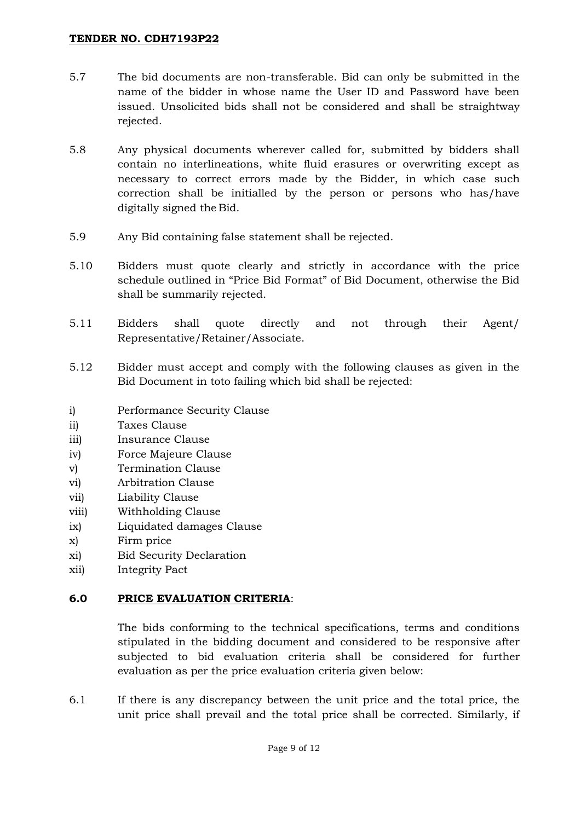#### **TENDER NO. CDH7193P22**

- 5.7 The bid documents are non-transferable. Bid can only be submitted in the name of the bidder in whose name the User ID and Password have been issued. Unsolicited bids shall not be considered and shall be straightway rejected.
- 5.8 Any physical documents wherever called for, submitted by bidders shall contain no interlineations, white fluid erasures or overwriting except as necessary to correct errors made by the Bidder, in which case such correction shall be initialled by the person or persons who has/have digitally signed the Bid.
- 5.9 Any Bid containing false statement shall be rejected.
- 5.10 Bidders must quote clearly and strictly in accordance with the price schedule outlined in "Price Bid Format" of Bid Document, otherwise the Bid shall be summarily rejected.
- 5.11 Bidders shall quote directly and not through their Agent/ Representative/Retainer/Associate.
- 5.12 Bidder must accept and comply with the following clauses as given in the Bid Document in toto failing which bid shall be rejected:
- i) Performance Security Clause
- ii) Taxes Clause
- iii) Insurance Clause
- iv) Force Majeure Clause
- v) Termination Clause
- vi) Arbitration Clause
- vii) Liability Clause
- viii) Withholding Clause
- ix) Liquidated damages Clause
- x) Firm price
- xi) Bid Security Declaration
- xii) Integrity Pact

#### **6.0 PRICE EVALUATION CRITERIA**:

The bids conforming to the technical specifications, terms and conditions stipulated in the bidding document and considered to be responsive after subjected to bid evaluation criteria shall be considered for further evaluation as per the price evaluation criteria given below:

6.1 If there is any discrepancy between the unit price and the total price, the unit price shall prevail and the total price shall be corrected. Similarly, if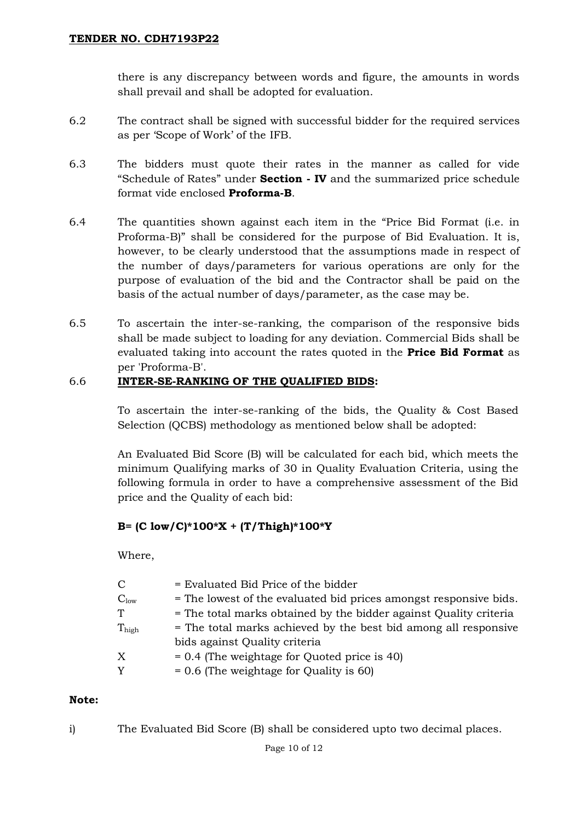there is any discrepancy between words and figure, the amounts in words shall prevail and shall be adopted for evaluation.

- 6.2 The contract shall be signed with successful bidder for the required services as per 'Scope of Work' of the IFB.
- 6.3 The bidders must quote their rates in the manner as called for vide "Schedule of Rates" under **Section - IV** and the summarized price schedule format vide enclosed **Proforma-B**.
- 6.4 The quantities shown against each item in the "Price Bid Format (i.e. in Proforma-B)" shall be considered for the purpose of Bid Evaluation. It is, however, to be clearly understood that the assumptions made in respect of the number of days/parameters for various operations are only for the purpose of evaluation of the bid and the Contractor shall be paid on the basis of the actual number of days/parameter, as the case may be.
- 6.5 To ascertain the inter-se-ranking, the comparison of the responsive bids shall be made subject to loading for any deviation. Commercial Bids shall be evaluated taking into account the rates quoted in the **Price Bid Format** as per 'Proforma-B'.

#### 6.6 **INTER-SE-RANKING OF THE QUALIFIED BIDS:**

To ascertain the inter-se-ranking of the bids, the Quality & Cost Based Selection (QCBS) methodology as mentioned below shall be adopted:

An Evaluated Bid Score (B) will be calculated for each bid, which meets the minimum Qualifying marks of 30 in Quality Evaluation Criteria, using the following formula in order to have a comprehensive assessment of the Bid price and the Quality of each bid:

## **B= (C low/C)\*100\*X + (T/Thigh)\*100\*Y**

Where,

| $\mathcal{C}$ | = Evaluated Bid Price of the bidder                               |
|---------------|-------------------------------------------------------------------|
| $C_{low}$     | = The lowest of the evaluated bid prices amongst responsive bids. |
| ፐ             | = The total marks obtained by the bidder against Quality criteria |
| Thigh         | = The total marks achieved by the best bid among all responsive   |
|               | bids against Quality criteria                                     |
| Х             | $= 0.4$ (The weightage for Quoted price is 40)                    |
| Y             | $= 0.6$ (The weightage for Quality is 60)                         |
|               |                                                                   |

#### **Note:**

i) The Evaluated Bid Score (B) shall be considered upto two decimal places.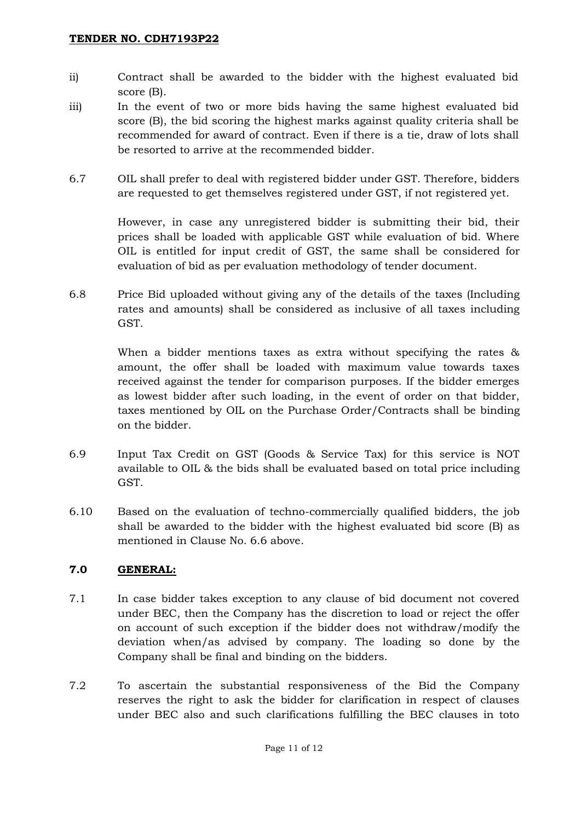- ii) Contract shall be awarded to the bidder with the highest evaluated bid score (B).
- iii) In the event of two or more bids having the same highest evaluated bid score (B), the bid scoring the highest marks against quality criteria shall be recommended for award of contract. Even if there is a tie, draw of lots shall be resorted to arrive at the recommended bidder.
- 6.7 OIL shall prefer to deal with registered bidder under GST. Therefore, bidders are requested to get themselves registered under GST, if not registered yet.

However, in case any unregistered bidder is submitting their bid, their prices shall be loaded with applicable GST while evaluation of bid. Where OIL is entitled for input credit of GST, the same shall be considered for evaluation of bid as per evaluation methodology of tender document.

6.8 Price Bid uploaded without giving any of the details of the taxes (Including rates and amounts) shall be considered as inclusive of all taxes including GST.

> When a bidder mentions taxes as extra without specifying the rates & amount, the offer shall be loaded with maximum value towards taxes received against the tender for comparison purposes. If the bidder emerges as lowest bidder after such loading, in the event of order on that bidder, taxes mentioned by OIL on the Purchase Order/Contracts shall be binding on the bidder.

- 6.9 Input Tax Credit on GST (Goods & Service Tax) for this service is NOT available to OIL & the bids shall be evaluated based on total price including GST.
- 6.10 Based on the evaluation of techno-commercially qualified bidders, the job shall be awarded to the bidder with the highest evaluated bid score (B) as mentioned in Clause No. 6.6 above.

## **7.0 GENERAL:**

- 7.1 In case bidder takes exception to any clause of bid document not covered under BEC, then the Company has the discretion to load or reject the offer on account of such exception if the bidder does not withdraw/modify the deviation when/as advised by company. The loading so done by the Company shall be final and binding on the bidders.
- 7.2 To ascertain the substantial responsiveness of the Bid the Company reserves the right to ask the bidder for clarification in respect of clauses under BEC also and such clarifications fulfilling the BEC clauses in toto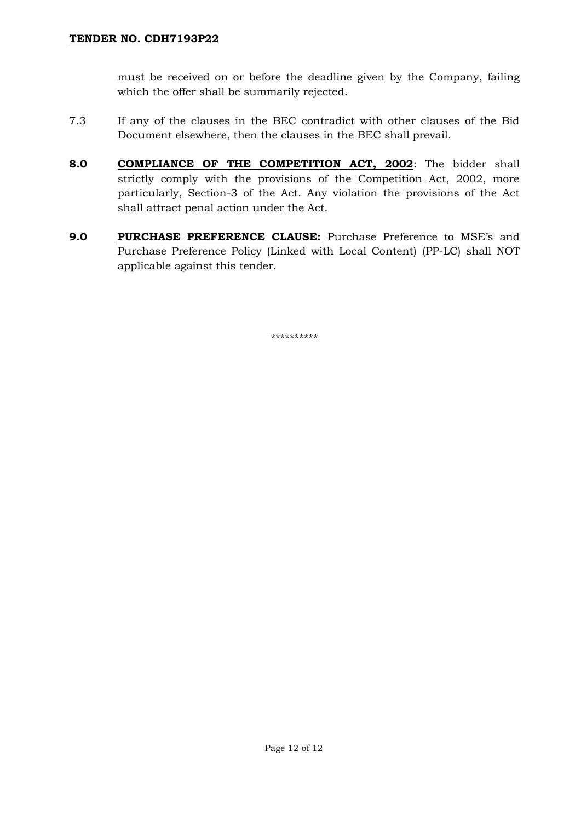must be received on or before the deadline given by the Company, failing which the offer shall be summarily rejected.

- 7.3 If any of the clauses in the BEC contradict with other clauses of the Bid Document elsewhere, then the clauses in the BEC shall prevail.
- **8.0 COMPLIANCE OF THE COMPETITION ACT, 2002**: The bidder shall strictly comply with the provisions of the Competition Act, 2002, more particularly, Section-3 of the Act. Any violation the provisions of the Act shall attract penal action under the Act.
- **9.0 PURCHASE PREFERENCE CLAUSE:** Purchase Preference to MSE's and Purchase Preference Policy (Linked with Local Content) (PP-LC) shall NOT applicable against this tender.

\*\*\*\*\*\*\*\*\*\*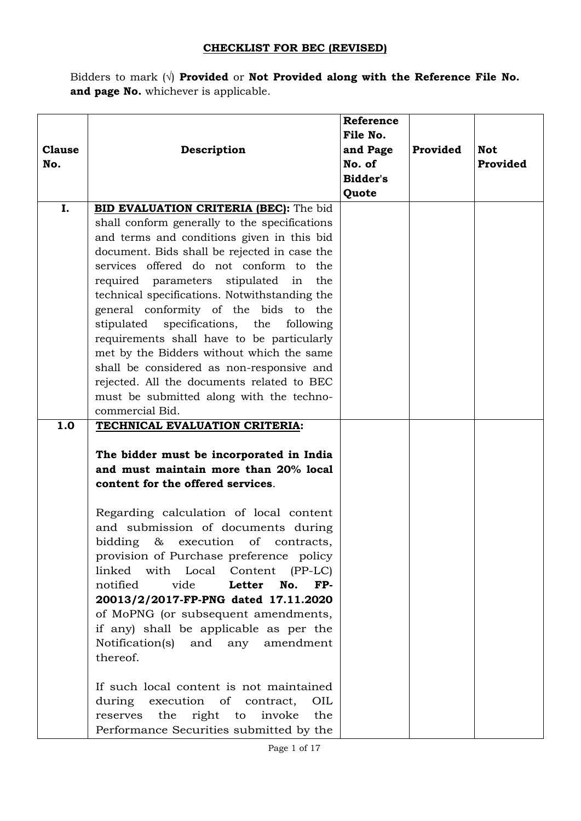# **CHECKLIST FOR BEC (REVISED)**

Bidders to mark (√) **Provided** or **Not Provided along with the Reference File No.**  and page No. whichever is applicable.

|               |                                                 | Reference |          |            |
|---------------|-------------------------------------------------|-----------|----------|------------|
|               |                                                 | File No.  |          |            |
| <b>Clause</b> | Description                                     | and Page  | Provided | <b>Not</b> |
| No.           |                                                 | No. of    |          | Provided   |
|               |                                                 | Bidder's  |          |            |
|               |                                                 | Quote     |          |            |
| I.            | BID EVALUATION CRITERIA (BEC): The bid          |           |          |            |
|               | shall conform generally to the specifications   |           |          |            |
|               | and terms and conditions given in this bid      |           |          |            |
|               | document. Bids shall be rejected in case the    |           |          |            |
|               | services offered do not conform to the          |           |          |            |
|               | required parameters stipulated in<br>the        |           |          |            |
|               | technical specifications. Notwithstanding the   |           |          |            |
|               | general conformity of the bids to the           |           |          |            |
|               | stipulated<br>specifications, the<br>following  |           |          |            |
|               | requirements shall have to be particularly      |           |          |            |
|               | met by the Bidders without which the same       |           |          |            |
|               | shall be considered as non-responsive and       |           |          |            |
|               | rejected. All the documents related to BEC      |           |          |            |
|               | must be submitted along with the techno-        |           |          |            |
|               | commercial Bid.                                 |           |          |            |
| 1.0           | TECHNICAL EVALUATION CRITERIA:                  |           |          |            |
|               | The bidder must be incorporated in India        |           |          |            |
|               | and must maintain more than 20% local           |           |          |            |
|               | content for the offered services.               |           |          |            |
|               |                                                 |           |          |            |
|               | Regarding calculation of local content          |           |          |            |
|               | and submission of documents during              |           |          |            |
|               | bidding $\&$<br>execution of<br>contracts,      |           |          |            |
|               | provision of Purchase preference policy         |           |          |            |
|               | linked with Local Content (PP-LC)               |           |          |            |
|               | notified<br>No.<br>FP-<br>vide<br>Letter        |           |          |            |
|               | 20013/2/2017-FP-PNG dated 17.11.2020            |           |          |            |
|               | of MoPNG (or subsequent amendments,             |           |          |            |
|               | if any) shall be applicable as per the          |           |          |            |
|               | Notification(s) and any<br>amendment            |           |          |            |
|               | thereof.                                        |           |          |            |
|               |                                                 |           |          |            |
|               | If such local content is not maintained         |           |          |            |
|               | execution of contract,<br>during<br>OIL         |           |          |            |
|               | the<br>right<br>invoke<br>the<br>reserves<br>to |           |          |            |
|               | Performance Securities submitted by the         |           |          |            |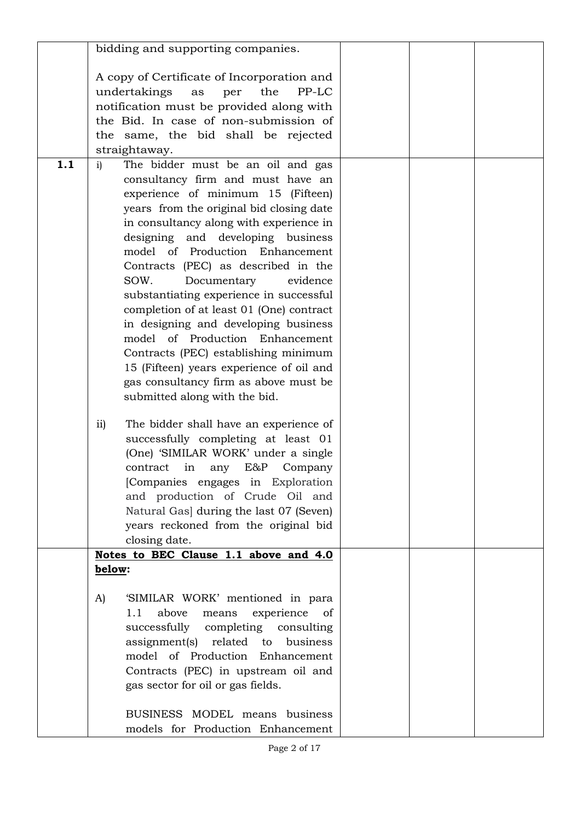|     | bidding and supporting companies.                       |  |  |
|-----|---------------------------------------------------------|--|--|
|     |                                                         |  |  |
|     | A copy of Certificate of Incorporation and              |  |  |
|     | undertakings<br>per<br>the<br>PP-LC<br>as               |  |  |
|     | notification must be provided along with                |  |  |
|     | the Bid. In case of non-submission of                   |  |  |
|     | the same, the bid shall be rejected                     |  |  |
|     | straightaway.                                           |  |  |
| 1.1 | The bidder must be an oil and gas<br>$\mathbf{i}$       |  |  |
|     | consultancy firm and must have an                       |  |  |
|     | experience of minimum 15 (Fifteen)                      |  |  |
|     | years from the original bid closing date                |  |  |
|     | in consultancy along with experience in                 |  |  |
|     | designing and developing business                       |  |  |
|     | model of Production Enhancement                         |  |  |
|     | Contracts (PEC) as described in the                     |  |  |
|     | SOW.                                                    |  |  |
|     | Documentary<br>evidence                                 |  |  |
|     | substantiating experience in successful                 |  |  |
|     | completion of at least 01 (One) contract                |  |  |
|     | in designing and developing business                    |  |  |
|     | model of Production Enhancement                         |  |  |
|     | Contracts (PEC) establishing minimum                    |  |  |
|     | 15 (Fifteen) years experience of oil and                |  |  |
|     | gas consultancy firm as above must be                   |  |  |
|     | submitted along with the bid.                           |  |  |
|     | The bidder shall have an experience of<br>$\mathbf{ii}$ |  |  |
|     | successfully completing at least 01                     |  |  |
|     | (One) 'SIMILAR WORK' under a single                     |  |  |
|     | E&P<br>in<br>Company<br>contract<br>any                 |  |  |
|     |                                                         |  |  |
|     | [Companies engages in Exploration                       |  |  |
|     | and production of Crude Oil and                         |  |  |
|     | Natural Gas] during the last 07 (Seven)                 |  |  |
|     | years reckoned from the original bid                    |  |  |
|     | closing date.                                           |  |  |
|     | Notes to BEC Clause 1.1 above and 4.0                   |  |  |
|     | below:                                                  |  |  |
|     | 'SIMILAR WORK' mentioned in para<br>A)                  |  |  |
|     | experience of<br>1.1<br>above<br>means                  |  |  |
|     | successfully completing<br>consulting                   |  |  |
|     | assignment(s) related to<br>business                    |  |  |
|     | model of Production Enhancement                         |  |  |
|     | Contracts (PEC) in upstream oil and                     |  |  |
|     | gas sector for oil or gas fields.                       |  |  |
|     |                                                         |  |  |
|     | BUSINESS MODEL means business                           |  |  |
|     | models for Production Enhancement                       |  |  |
|     |                                                         |  |  |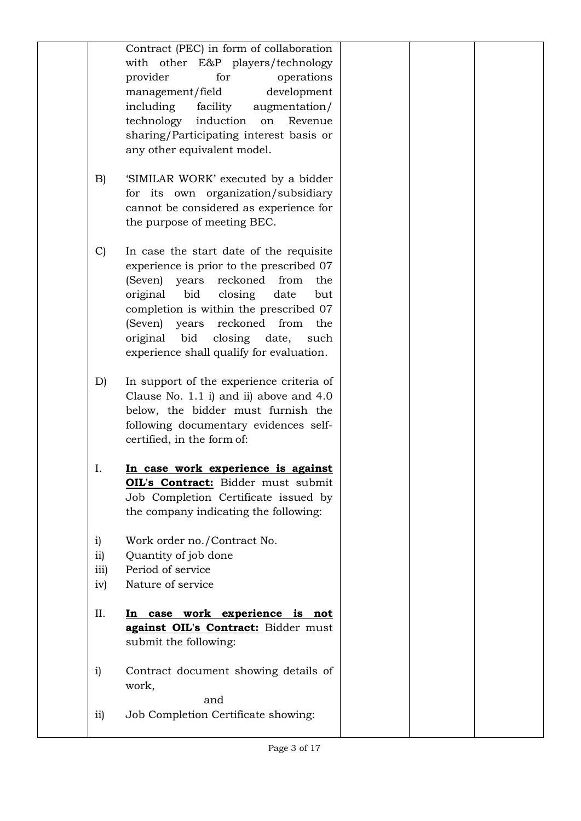|                       | Contract (PEC) in form of collaboration<br>with other E&P players/technology        |  |
|-----------------------|-------------------------------------------------------------------------------------|--|
|                       | provider<br>for<br>operations                                                       |  |
|                       | development<br>management/field<br>including<br>facility<br>augmentation/           |  |
|                       | technology<br>induction<br>Revenue<br>on                                            |  |
|                       | sharing/Participating interest basis or                                             |  |
|                       | any other equivalent model.                                                         |  |
| B)                    | 'SIMILAR WORK' executed by a bidder                                                 |  |
|                       | for its own organization/subsidiary                                                 |  |
|                       | cannot be considered as experience for                                              |  |
|                       | the purpose of meeting BEC.                                                         |  |
| $\mathcal{C}$         | In case the start date of the requisite                                             |  |
|                       | experience is prior to the prescribed 07                                            |  |
|                       | reckoned<br>(Seven) years<br>from<br>the                                            |  |
|                       | bid<br>closing<br>original<br>date<br>but<br>completion is within the prescribed 07 |  |
|                       | (Seven) years<br>reckoned<br>from<br>the                                            |  |
|                       | bid<br>original<br>closing date,<br>such                                            |  |
|                       | experience shall qualify for evaluation.                                            |  |
| D)                    | In support of the experience criteria of                                            |  |
|                       | Clause No. $1.1$ i) and ii) above and $4.0$                                         |  |
|                       | below, the bidder must furnish the                                                  |  |
|                       | following documentary evidences self-<br>certified, in the form of:                 |  |
|                       |                                                                                     |  |
| Ι.                    | In case work experience is against                                                  |  |
|                       | OIL's Contract: Bidder must submit<br>Job Completion Certificate issued by          |  |
|                       | the company indicating the following:                                               |  |
|                       |                                                                                     |  |
| i)<br>$\overline{11}$ | Work order no./Contract No.<br>Quantity of job done                                 |  |
| iii)                  | Period of service                                                                   |  |
| iv)                   | Nature of service                                                                   |  |
| II.                   |                                                                                     |  |
|                       | case work experience is not<br>In<br>against OIL's Contract: Bidder must            |  |
|                       | submit the following:                                                               |  |
| $\mathbf{i}$          | Contract document showing details of                                                |  |
|                       | work,                                                                               |  |
|                       | and                                                                                 |  |
| $\overline{11}$       | Job Completion Certificate showing:                                                 |  |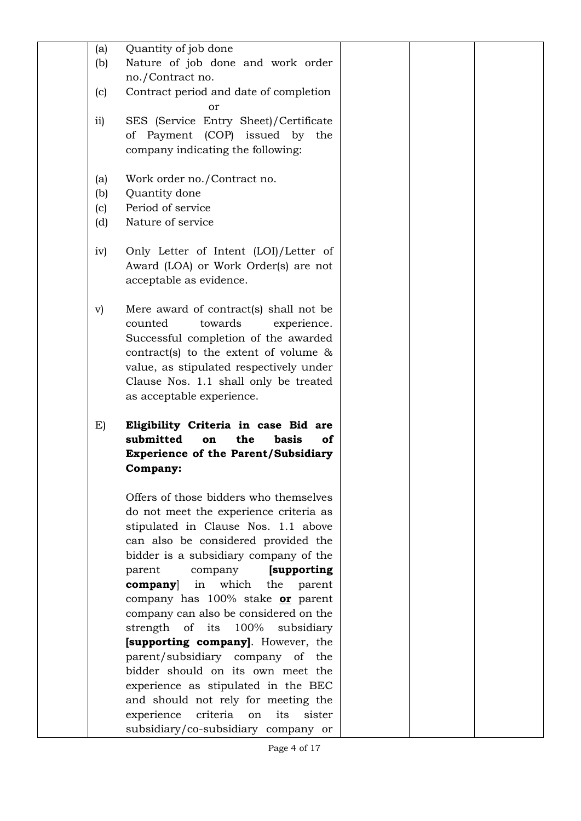| (a)             | Quantity of job done                                                                 |  |
|-----------------|--------------------------------------------------------------------------------------|--|
| (b)             | Nature of job done and work order                                                    |  |
|                 | no./Contract no.                                                                     |  |
| (c)             | Contract period and date of completion                                               |  |
|                 | or                                                                                   |  |
|                 |                                                                                      |  |
| $\overline{11}$ | SES (Service Entry Sheet)/Certificate                                                |  |
|                 | of Payment (COP) issued by<br>the                                                    |  |
|                 | company indicating the following:                                                    |  |
| (a)             | Work order no./Contract no.                                                          |  |
| (b)             | Quantity done                                                                        |  |
|                 | Period of service                                                                    |  |
| (c)             |                                                                                      |  |
| (d)             | Nature of service                                                                    |  |
| iv)             | Only Letter of Intent (LOI)/Letter of                                                |  |
|                 | Award (LOA) or Work Order(s) are not                                                 |  |
|                 | acceptable as evidence.                                                              |  |
|                 |                                                                                      |  |
| $\mathbf{v})$   | Mere award of contract(s) shall not be                                               |  |
|                 | counted<br>towards<br>experience.                                                    |  |
|                 | Successful completion of the awarded                                                 |  |
|                 | contract(s) to the extent of volume $\&$                                             |  |
|                 | value, as stipulated respectively under                                              |  |
|                 | Clause Nos. 1.1 shall only be treated                                                |  |
|                 | as acceptable experience.                                                            |  |
|                 |                                                                                      |  |
|                 |                                                                                      |  |
| E)              | Eligibility Criteria in case Bid are                                                 |  |
|                 | submitted<br>the<br>basis<br>of<br>on                                                |  |
|                 | <b>Experience of the Parent/Subsidiary</b>                                           |  |
|                 | Company:                                                                             |  |
|                 |                                                                                      |  |
|                 | Offers of those bidders who themselves                                               |  |
|                 | do not meet the experience criteria as                                               |  |
|                 | stipulated in Clause Nos. 1.1 above                                                  |  |
|                 | can also be considered provided the                                                  |  |
|                 | bidder is a subsidiary company of the                                                |  |
|                 | [supporting]<br>parent<br>company                                                    |  |
|                 | which<br>in<br>the<br>$\bf{company}$<br>parent                                       |  |
|                 | company has 100% stake or parent                                                     |  |
|                 | company can also be considered on the                                                |  |
|                 | 100%                                                                                 |  |
|                 | strength of its<br>subsidiary<br><b>[supporting company].</b> However, the           |  |
|                 |                                                                                      |  |
|                 | parent/subsidiary company of the                                                     |  |
|                 | bidder should on its own meet the                                                    |  |
|                 | experience as stipulated in the BEC                                                  |  |
|                 | and should not rely for meeting the                                                  |  |
|                 | experience<br>criteria<br>its<br>sister<br>on<br>subsidiary/co-subsidiary company or |  |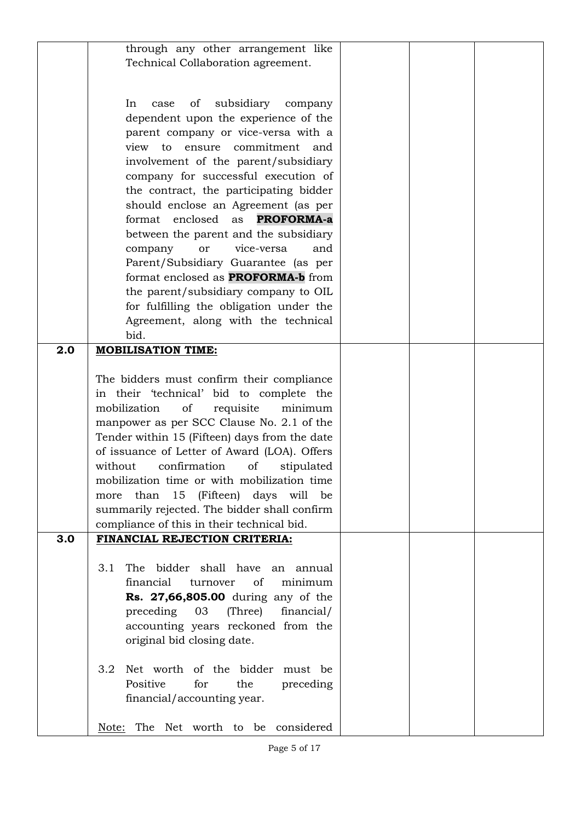|     | through any other arrangement like            |  |  |
|-----|-----------------------------------------------|--|--|
|     | Technical Collaboration agreement.            |  |  |
|     |                                               |  |  |
|     |                                               |  |  |
|     |                                               |  |  |
|     | subsidiary<br>of<br>In<br>case<br>company     |  |  |
|     | dependent upon the experience of the          |  |  |
|     | parent company or vice-versa with a           |  |  |
|     | view to ensure commitment and                 |  |  |
|     |                                               |  |  |
|     | involvement of the parent/subsidiary          |  |  |
|     | company for successful execution of           |  |  |
|     | the contract, the participating bidder        |  |  |
|     | should enclose an Agreement (as per           |  |  |
|     |                                               |  |  |
|     | <b>PROFORMA-a</b><br>format enclosed<br>as    |  |  |
|     | between the parent and the subsidiary         |  |  |
|     | vice-versa<br>and<br>company<br>or            |  |  |
|     | Parent/Subsidiary Guarantee (as per           |  |  |
|     | format enclosed as <b>PROFORMA-b</b> from     |  |  |
|     |                                               |  |  |
|     | the parent/subsidiary company to OIL          |  |  |
|     | for fulfilling the obligation under the       |  |  |
|     | Agreement, along with the technical           |  |  |
|     | bid.                                          |  |  |
| 2.0 | <b>MOBILISATION TIME:</b>                     |  |  |
|     |                                               |  |  |
|     |                                               |  |  |
|     | The bidders must confirm their compliance     |  |  |
|     | in their 'technical' bid to complete the      |  |  |
|     | mobilization<br>of<br>requisite<br>minimum    |  |  |
|     | manpower as per SCC Clause No. 2.1 of the     |  |  |
|     |                                               |  |  |
|     | Tender within 15 (Fifteen) days from the date |  |  |
|     | of issuance of Letter of Award (LOA). Offers  |  |  |
|     | confirmation<br>without<br>of<br>stipulated   |  |  |
|     | mobilization time or with mobilization time   |  |  |
|     | 15<br>(Fifteen) days will be<br>than<br>more  |  |  |
|     |                                               |  |  |
|     | summarily rejected. The bidder shall confirm  |  |  |
|     | compliance of this in their technical bid.    |  |  |
| 3.0 | FINANCIAL REJECTION CRITERIA:                 |  |  |
|     |                                               |  |  |
|     | The bidder shall have an annual<br>3.1        |  |  |
|     |                                               |  |  |
|     | financial<br>of<br>minimum<br>turnover        |  |  |
|     | Rs. 27,66,805.00 during any of the            |  |  |
|     | preceding 03<br>(Three)<br>financial/         |  |  |
|     | accounting years reckoned from the            |  |  |
|     | original bid closing date.                    |  |  |
|     |                                               |  |  |
|     |                                               |  |  |
|     | Net worth of the bidder must be<br>3.2        |  |  |
|     | Positive<br>for<br>the<br>preceding           |  |  |
|     | financial/accounting year.                    |  |  |
|     |                                               |  |  |
|     | Note: The Net worth to be considered          |  |  |
|     |                                               |  |  |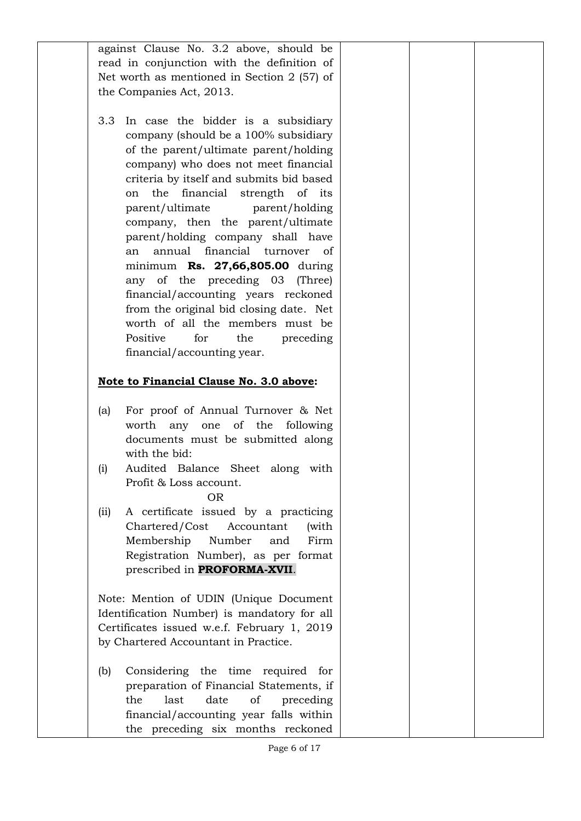against Clause No. 3.2 above, should be read in conjunction with the definition of Net worth as mentioned in Section 2 (57) of the Companies Act, 2013.

3.3 In case the bidder is a subsidiary company (should be a 100% subsidiary of the parent/ultimate parent/holding company) who does not meet financial criteria by itself and submits bid based on the financial strength of its parent/ultimate parent/holding company, then the parent/ultimate parent/holding company shall have an annual financial turnover of minimum **Rs. 27,66,805.00** during any of the preceding 03 (Three) financial/accounting years reckoned from the original bid closing date. Net worth of all the members must be Positive for the preceding financial/accounting year.

# **Note to Financial Clause No. 3.0 above:**

- (a) For proof of Annual Turnover & Net worth any one of the following documents must be submitted along with the bid:
- (i) Audited Balance Sheet along with Profit & Loss account.

#### OR

(ii) A certificate issued by a practicing Chartered/Cost Accountant (with Membership Number and Firm Registration Number), as per format prescribed in **PROFORMA-XVII**.

Note: Mention of UDIN (Unique Document Identification Number) is mandatory for all Certificates issued w.e.f. February 1, 2019 by Chartered Accountant in Practice.

(b) Considering the time required for preparation of Financial Statements, if the last date of preceding financial/accounting year falls within the preceding six months reckoned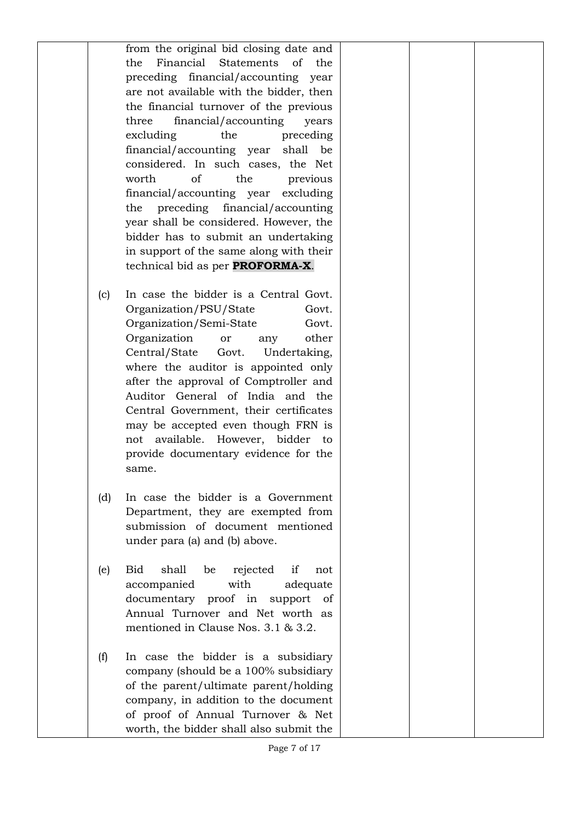from the original bid closing date and the Financial Statements of the preceding financial/accounting year are not available with the bidder, then the financial turnover of the previous three financial/accounting years excluding the preceding financial/accounting year shall be considered. In such cases, the Net worth of the previous financial/accounting year excluding the preceding financial/accounting year shall be considered. However, the bidder has to submit an undertaking in support of the same along with their technical bid as per **PROFORMA-X**.

- (c) In case the bidder is a Central Govt. Organization/PSU/State Govt. Organization/Semi-State Govt. Organization or any other Central/State Govt. Undertaking, where the auditor is appointed only after the approval of Comptroller and Auditor General of India and the Central Government, their certificates may be accepted even though FRN is not available. However, bidder to provide documentary evidence for the same.
- (d) In case the bidder is a Government Department, they are exempted from submission of document mentioned under para (a) and (b) above.
- (e) Bid shall be rejected if not accompanied with adequate documentary proof in support of Annual Turnover and Net worth as mentioned in Clause Nos. 3.1 & 3.2.
- (f) In case the bidder is a subsidiary company (should be a 100% subsidiary of the parent/ultimate parent/holding company, in addition to the document of proof of Annual Turnover & Net worth, the bidder shall also submit the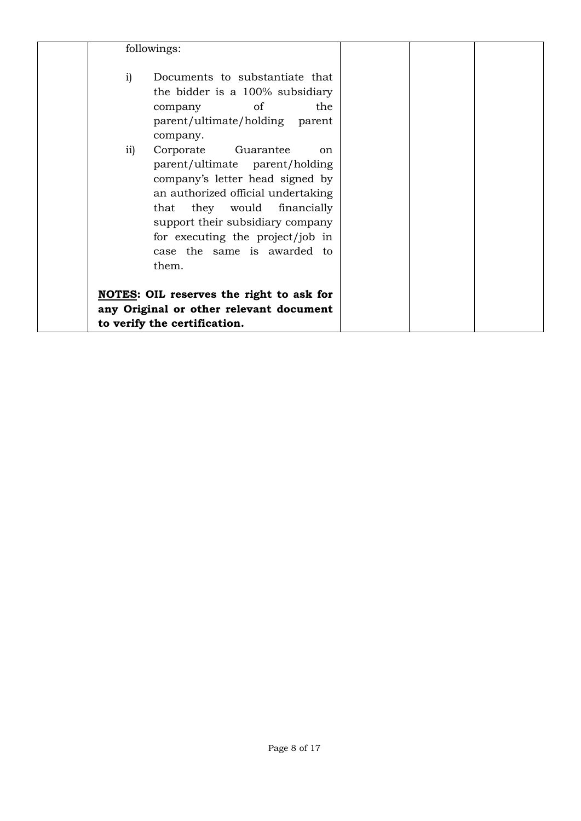| followings:   |                                                                                                                                                                                                                                                                                                |  |  |
|---------------|------------------------------------------------------------------------------------------------------------------------------------------------------------------------------------------------------------------------------------------------------------------------------------------------|--|--|
| $\mathbf{i}$  | Documents to substantiate that<br>the bidder is a 100% subsidiary<br>of<br>the<br>company<br>parent/ultimate/holding parent<br>company.                                                                                                                                                        |  |  |
| $\mathbf{ii}$ | Corporate Guarantee<br><sub>on</sub><br>parent/ultimate parent/holding<br>company's letter head signed by<br>an authorized official undertaking<br>that they would financially<br>support their subsidiary company<br>for executing the project/job in<br>case the same is awarded to<br>them. |  |  |
|               | <b>NOTES:</b> OIL reserves the right to ask for<br>any Original or other relevant document<br>to verify the certification.                                                                                                                                                                     |  |  |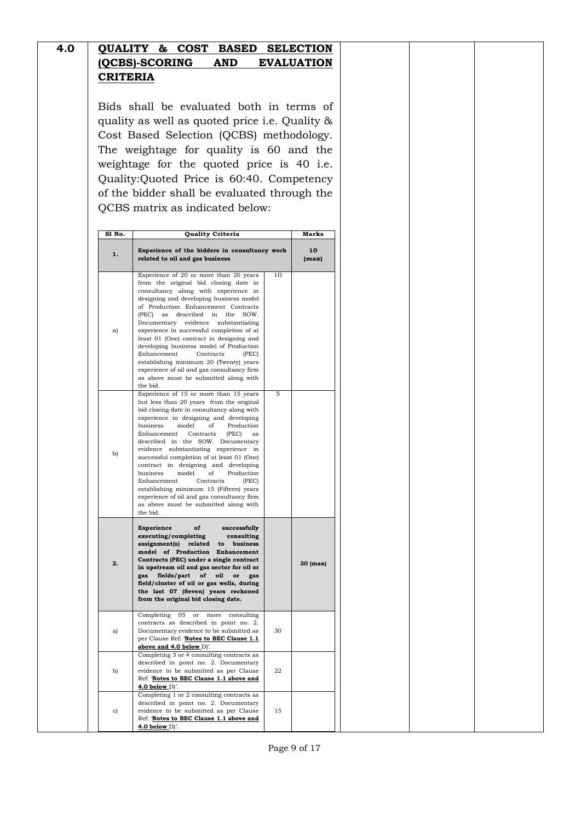| 4.0 |                 |  |            | QUALITY & COST BASED SELECTION |
|-----|-----------------|--|------------|--------------------------------|
|     | (QCBS)-SCORING  |  | <b>AND</b> | <b>EVALUATION</b>              |
|     | <b>CRITERIA</b> |  |            |                                |

Bids shall be evaluated both in terms of quality as well as quoted price i.e. Quality & Cost Based Selection (QCBS) methodology. The weightage for quality is 60 and the weightage for the quoted price is 40 i.e. Quality:Quoted Price is 60:40. Competency of the bidder shall be evaluated through the QCBS matrix as indicated below:

| S1 No. | Quality Criteria                                                                                                                                                                                                                                                                                                                                                                                                                                                                                                                                                                                                                                                        |    | Marks       |
|--------|-------------------------------------------------------------------------------------------------------------------------------------------------------------------------------------------------------------------------------------------------------------------------------------------------------------------------------------------------------------------------------------------------------------------------------------------------------------------------------------------------------------------------------------------------------------------------------------------------------------------------------------------------------------------------|----|-------------|
| 1.     | Experience of the bidders in consultancy work<br>related to oil and gas business                                                                                                                                                                                                                                                                                                                                                                                                                                                                                                                                                                                        |    | 10<br>(max) |
| a)     | Experience of 20 or more than 20 years<br>from the original bid closing date in<br>consultancy along with experience in<br>designing and developing business model<br>of Production Enhancement Contracts<br>described<br>(PEC)<br>in<br>the<br>SOW<br>as<br>Documentary<br>evidence<br>substantiating<br>experience in successful completion of at<br>least 01 (One) contract in designing and<br>developing business model of Production<br>Enhancement<br>Contracts<br>(PEC)<br>establishing minimum 20 (Twenty) years<br>experience of oil and gas consultancy firm<br>as above must be submitted along with<br>the bid.                                            | 10 |             |
| b)     | Experience of 15 or more than 15 years<br>but less than 20 years from the original<br>bid closing date in consultancy along with<br>experience in designing and developing<br>business<br>model<br>οf<br>Production<br>Contracts<br>(PEC)<br>Enhancement<br>as<br>SOW. Documentary<br>described in the<br>evidence<br>substantiating experience<br>in<br>successful completion of at least 01 (One)<br>contract in designing and developing<br>of<br>Production<br>business<br>model<br>Enhancement<br>Contracts<br>(PEC)<br>establishing minimum 15 (Fifteen) years<br>experience of oil and gas consultancy firm<br>as above must be submitted along with<br>the bid. | 5  |             |
| 2.     | Experience<br>of<br>successfully<br>executing/completing<br>consulting<br>assignment(s)<br>related<br>to<br>business<br>model of Production<br>Enhancement<br>Contracts (PEC) under a single contract<br>in upstream oil and gas sector for oil or<br>fields/part<br>of<br>oil<br>gas<br>or<br>gas<br>field/cluster of oil or gas wells, during<br>the last 07 (Seven) years reckoned<br>from the original bid closing date.                                                                                                                                                                                                                                            |    | 30 (max)    |
| a)     | Completing<br>05<br>or<br>more<br>consulting<br>contracts as described in point no. 2.<br>Documentary evidence to be submitted as<br>per Clause Ref: 'Notes to BEC Clause 1.1<br>above and 4.0 below D)'.                                                                                                                                                                                                                                                                                                                                                                                                                                                               | 30 |             |
| b)     | Completing 3 or 4 consulting contracts as<br>described in point no. 2. Documentary<br>evidence to be submitted as per Clause<br>Ref: 'Notes to BEC Clause 1.1 above and<br>4.0 below $D$ .                                                                                                                                                                                                                                                                                                                                                                                                                                                                              | 22 |             |
| c)     | Completing 1 or 2 consulting contracts as<br>described in point no. 2. Documentary<br>evidence to be submitted as per Clause<br>Ref: 'Notes to BEC Clause 1.1 above and<br>4.0 below $D$ <sup><math>\prime</math></sup> .                                                                                                                                                                                                                                                                                                                                                                                                                                               | 15 |             |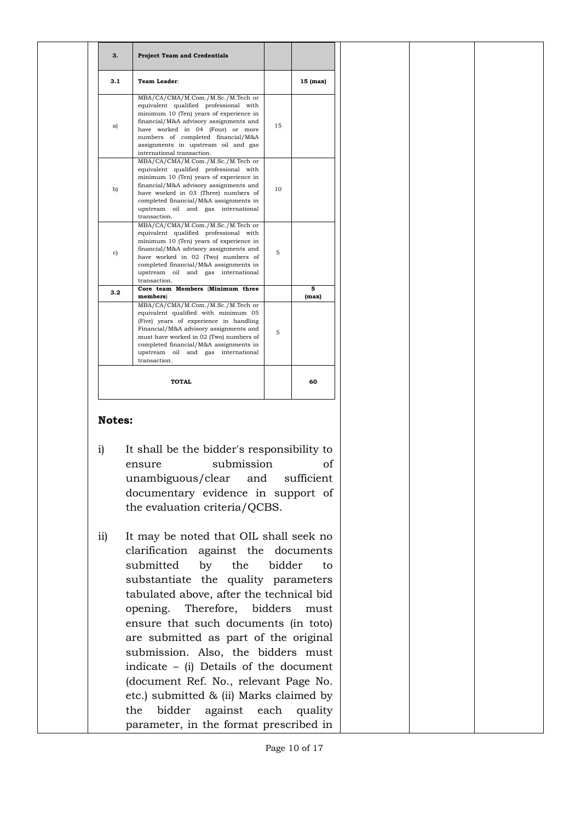| 3.1 | Team Leader:                                                                                                                                                                                                                                                                                                    |    | 15 (max)   |
|-----|-----------------------------------------------------------------------------------------------------------------------------------------------------------------------------------------------------------------------------------------------------------------------------------------------------------------|----|------------|
| a)  | MBA/CA/CMA/M.Com./M.Sc./M.Tech or<br>equivalent qualified professional with<br>minimum 10 (Ten) years of experience in<br>financial/M&A advisory assignments and<br>have worked in 04 (Four) or more<br>numbers of completed financial/M&A<br>assignments in upstream oil and gas<br>international transaction. | 15 |            |
| b)  | MBA/CA/CMA/M.Com./M.Sc./M.Tech or<br>equivalent qualified professional with<br>minimum 10 (Ten) years of experience in<br>financial/M&A advisory assignments and<br>have worked in 03 (Three) numbers of<br>completed financial/M&A assignments in<br>upstream oil and gas international<br>transaction.        | 10 |            |
| c)  | MBA/CA/CMA/M.Com./M.Sc./M.Tech or<br>equivalent qualified professional with<br>minimum 10 (Ten) years of experience in<br>financial/M&A advisory assignments and<br>have worked in 02 (Two) numbers of<br>completed financial/M&A assignments in<br>upstream oil and gas international<br>transaction.          | 5  |            |
| 3.2 | Core team Members (Minimum three<br>members)                                                                                                                                                                                                                                                                    |    | 5<br>(max) |
|     | MBA/CA/CMA/M.Com./M.Sc./M.Tech or<br>equivalent qualified with minimum 05<br>(Five) years of experience in handling<br>Financial/M&A advisory assignments and<br>must have worked in 02 (Two) numbers of<br>completed financial/M&A assignments in<br>upstream<br>oil and gas international<br>transaction.     | 5  |            |
|     | <b>TOTAL</b>                                                                                                                                                                                                                                                                                                    |    | 60         |

#### **Notes:**

- i) It shall be the bidder's responsibility to ensure submission of unambiguous/clear and sufficient documentary evidence in support of the evaluation criteria/QCBS.
- ii) It may be noted that OIL shall seek no clarification against the documents submitted by the bidder to substantiate the quality parameters tabulated above, after the technical bid opening. Therefore, bidders must ensure that such documents (in toto) are submitted as part of the original submission. Also, the bidders must indicate – (i) Details of the document (document Ref. No., relevant Page No. etc.) submitted & (ii) Marks claimed by the bidder against each quality parameter, in the format prescribed in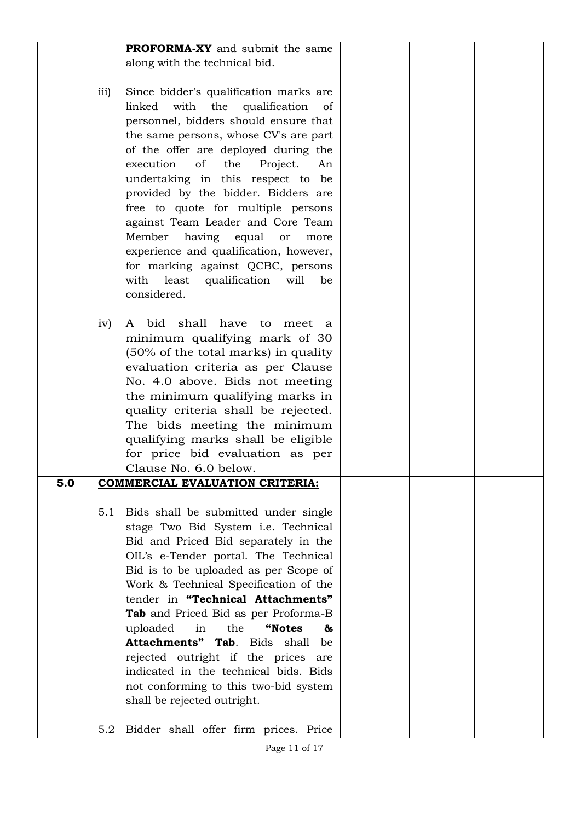|     |      | <b>PROFORMA-XY</b> and submit the same    |  |  |
|-----|------|-------------------------------------------|--|--|
|     |      | along with the technical bid.             |  |  |
|     |      |                                           |  |  |
|     | iii) | Since bidder's qualification marks are    |  |  |
|     |      | with the qualification                    |  |  |
|     |      | linked<br>of                              |  |  |
|     |      | personnel, bidders should ensure that     |  |  |
|     |      | the same persons, whose CV's are part     |  |  |
|     |      | of the offer are deployed during the      |  |  |
|     |      | execution<br>of<br>the<br>Project.<br>An  |  |  |
|     |      |                                           |  |  |
|     |      | undertaking in this respect to be         |  |  |
|     |      | provided by the bidder. Bidders are       |  |  |
|     |      | free to quote for multiple persons        |  |  |
|     |      | against Team Leader and Core Team         |  |  |
|     |      | Member                                    |  |  |
|     |      | having equal<br>or<br>more                |  |  |
|     |      | experience and qualification, however,    |  |  |
|     |      | for marking against QCBC, persons         |  |  |
|     |      | with least<br>qualification<br>will<br>be |  |  |
|     |      | considered.                               |  |  |
|     |      |                                           |  |  |
|     |      |                                           |  |  |
|     | iv)  | A bid shall have to<br>meet<br>a.         |  |  |
|     |      | minimum qualifying mark of 30             |  |  |
|     |      | (50% of the total marks) in quality       |  |  |
|     |      | evaluation criteria as per Clause         |  |  |
|     |      |                                           |  |  |
|     |      | No. 4.0 above. Bids not meeting           |  |  |
|     |      | the minimum qualifying marks in           |  |  |
|     |      | quality criteria shall be rejected.       |  |  |
|     |      | The bids meeting the minimum              |  |  |
|     |      | qualifying marks shall be eligible        |  |  |
|     |      |                                           |  |  |
|     |      | for price bid evaluation as per           |  |  |
|     |      | Clause No. 6.0 below.                     |  |  |
| 5.0 |      | <b>COMMERCIAL EVALUATION CRITERIA:</b>    |  |  |
|     |      |                                           |  |  |
|     | 5.1  | Bids shall be submitted under single      |  |  |
|     |      |                                           |  |  |
|     |      | stage Two Bid System i.e. Technical       |  |  |
|     |      | Bid and Priced Bid separately in the      |  |  |
|     |      | OIL's e-Tender portal. The Technical      |  |  |
|     |      | Bid is to be uploaded as per Scope of     |  |  |
|     |      | Work & Technical Specification of the     |  |  |
|     |      |                                           |  |  |
|     |      | tender in "Technical Attachments"         |  |  |
|     |      | Tab and Priced Bid as per Proforma-B      |  |  |
|     |      | in<br>the<br>"Notes<br>uploaded<br>&      |  |  |
|     |      | Attachments" Tab. Bids shall<br>be        |  |  |
|     |      | rejected outright if the prices are       |  |  |
|     |      |                                           |  |  |
|     |      | indicated in the technical bids. Bids     |  |  |
|     |      | not conforming to this two-bid system     |  |  |
|     |      | shall be rejected outright.               |  |  |
|     |      |                                           |  |  |
|     | 5.2  |                                           |  |  |
|     |      | Bidder shall offer firm prices. Price     |  |  |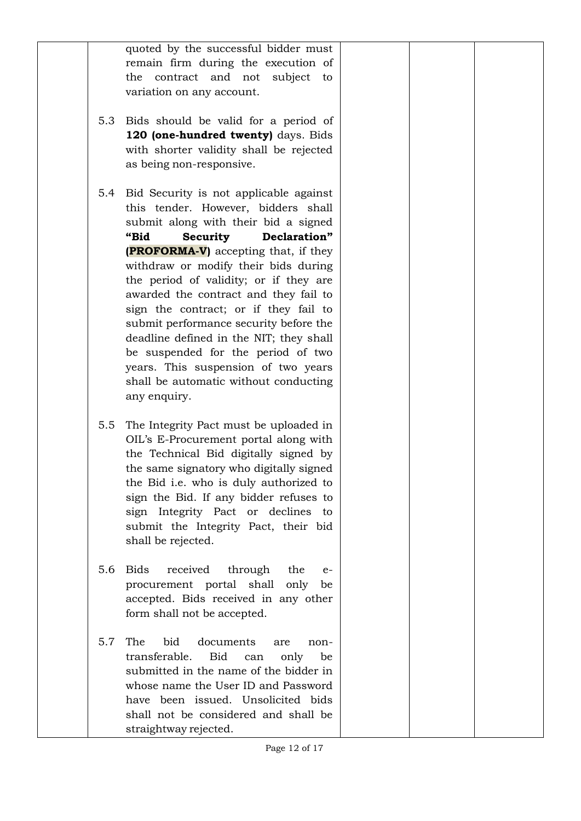|     | quoted by the successful bidder must<br>remain firm during the execution of<br>contract and not<br>the<br>subject<br>to                                                                                                                                                                                                                                                                                                                                                                                                                                                                                 |  |  |
|-----|---------------------------------------------------------------------------------------------------------------------------------------------------------------------------------------------------------------------------------------------------------------------------------------------------------------------------------------------------------------------------------------------------------------------------------------------------------------------------------------------------------------------------------------------------------------------------------------------------------|--|--|
|     | variation on any account.                                                                                                                                                                                                                                                                                                                                                                                                                                                                                                                                                                               |  |  |
| 5.3 | Bids should be valid for a period of<br>120 (one-hundred twenty) days. Bids<br>with shorter validity shall be rejected<br>as being non-responsive.                                                                                                                                                                                                                                                                                                                                                                                                                                                      |  |  |
| 5.4 | Bid Security is not applicable against<br>this tender. However, bidders shall<br>submit along with their bid a signed<br>"Bid<br>Declaration"<br><b>Security</b><br>(PROFORMA-V) accepting that, if they<br>withdraw or modify their bids during<br>the period of validity; or if they are<br>awarded the contract and they fail to<br>sign the contract; or if they fail to<br>submit performance security before the<br>deadline defined in the NIT; they shall<br>be suspended for the period of two<br>years. This suspension of two years<br>shall be automatic without conducting<br>any enquiry. |  |  |
| 5.5 | The Integrity Pact must be uploaded in<br>OIL's E-Procurement portal along with<br>the Technical Bid digitally signed by<br>the same signatory who digitally signed<br>the Bid i.e. who is duly authorized to<br>sign the Bid. If any bidder refuses to<br>sign Integrity Pact or declines<br>to<br>submit the Integrity Pact, their bid<br>shall be rejected.                                                                                                                                                                                                                                          |  |  |
| 5.6 | received<br><b>Bids</b><br>through<br>the<br>$e-$<br>procurement portal shall only<br>be<br>accepted. Bids received in any other<br>form shall not be accepted.                                                                                                                                                                                                                                                                                                                                                                                                                                         |  |  |
| 5.7 | bid<br>The<br>documents<br>are<br>non-<br>transferable.<br><b>Bid</b><br>can<br>only<br>be<br>submitted in the name of the bidder in<br>whose name the User ID and Password<br>have been issued. Unsolicited bids<br>shall not be considered and shall be<br>straightway rejected.                                                                                                                                                                                                                                                                                                                      |  |  |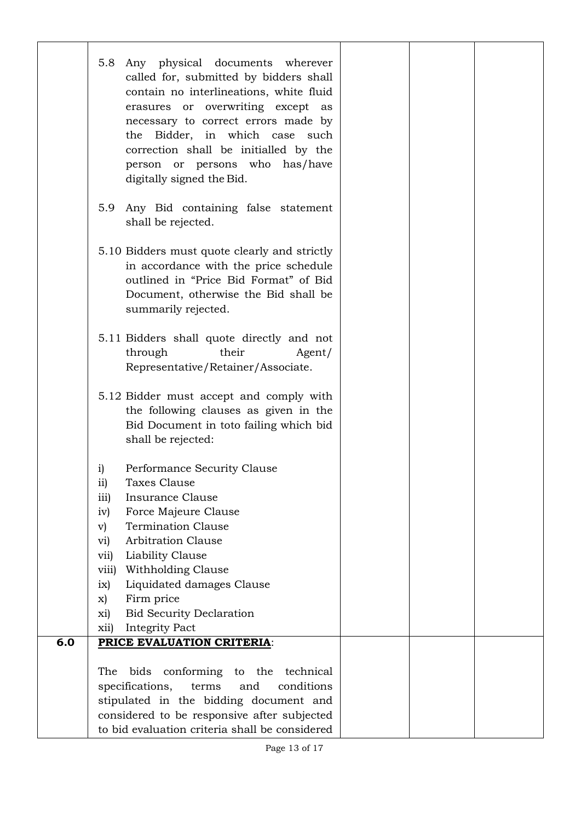|     | Any physical documents wherever<br>5.8<br>called for, submitted by bidders shall<br>contain no interlineations, white fluid<br>erasures or overwriting except as<br>necessary to correct errors made by<br>the Bidder, in which case such<br>correction shall be initialled by the<br>person or persons who has/have<br>digitally signed the Bid.                                                             |            |  |  |
|-----|---------------------------------------------------------------------------------------------------------------------------------------------------------------------------------------------------------------------------------------------------------------------------------------------------------------------------------------------------------------------------------------------------------------|------------|--|--|
|     | 5.9<br>Any Bid containing false statement<br>shall be rejected.                                                                                                                                                                                                                                                                                                                                               |            |  |  |
|     | 5.10 Bidders must quote clearly and strictly<br>in accordance with the price schedule<br>outlined in "Price Bid Format" of Bid<br>Document, otherwise the Bid shall be<br>summarily rejected.                                                                                                                                                                                                                 |            |  |  |
|     | 5.11 Bidders shall quote directly and not<br>their<br>through<br>Representative/Retainer/Associate.                                                                                                                                                                                                                                                                                                           | Agent/     |  |  |
|     | 5.12 Bidder must accept and comply with<br>the following clauses as given in the<br>Bid Document in toto failing which bid<br>shall be rejected:                                                                                                                                                                                                                                                              |            |  |  |
|     | Performance Security Clause<br>$\mathbf{i}$<br>Taxes Clause<br>11)<br>Insurance Clause<br>iii)<br>Force Majeure Clause<br>iv)<br><b>Termination Clause</b><br>$\mathbf{v})$<br><b>Arbitration Clause</b><br>vi)<br>Liability Clause<br>vii)<br>Withholding Clause<br>viii)<br>Liquidated damages Clause<br>ix)<br>Firm price<br>x)<br><b>Bid Security Declaration</b><br>xi)<br><b>Integrity Pact</b><br>xii) |            |  |  |
| 6.0 | PRICE EVALUATION CRITERIA:<br>conforming to the technical<br>The<br>bids<br>specifications,<br>terms<br>and<br>stipulated in the bidding document and<br>considered to be responsive after subjected                                                                                                                                                                                                          | conditions |  |  |
|     | to bid evaluation criteria shall be considered                                                                                                                                                                                                                                                                                                                                                                |            |  |  |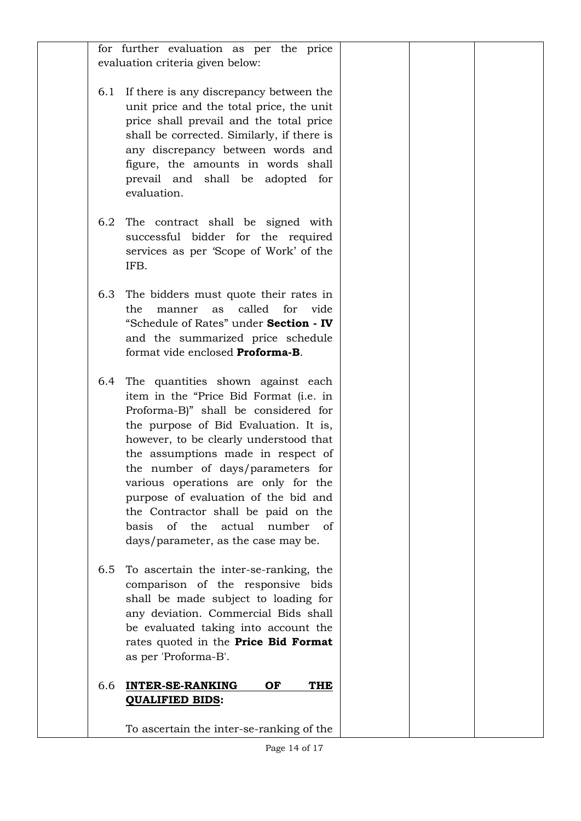|     | for further evaluation as per the price         |  |  |
|-----|-------------------------------------------------|--|--|
|     | evaluation criteria given below:                |  |  |
|     | 6.1 If there is any discrepancy between the     |  |  |
|     | unit price and the total price, the unit        |  |  |
|     | price shall prevail and the total price         |  |  |
|     |                                                 |  |  |
|     | shall be corrected. Similarly, if there is      |  |  |
|     | any discrepancy between words and               |  |  |
|     | figure, the amounts in words shall              |  |  |
|     | prevail and shall be adopted for<br>evaluation. |  |  |
|     |                                                 |  |  |
| 6.2 | The contract shall be signed with               |  |  |
|     | successful bidder for the required              |  |  |
|     | services as per 'Scope of Work' of the          |  |  |
|     | IFB.                                            |  |  |
|     |                                                 |  |  |
|     | 6.3 The bidders must quote their rates in       |  |  |
|     | called<br>for<br>vide<br>the<br>manner<br>as    |  |  |
|     | "Schedule of Rates" under Section - IV          |  |  |
|     | and the summarized price schedule               |  |  |
|     | format vide enclosed Proforma-B.                |  |  |
| 6.4 | The quantities shown against each               |  |  |
|     | item in the "Price Bid Format (i.e. in          |  |  |
|     | Proforma-B)" shall be considered for            |  |  |
|     | the purpose of Bid Evaluation. It is,           |  |  |
|     | however, to be clearly understood that          |  |  |
|     | the assumptions made in respect of              |  |  |
|     | the number of days/parameters for               |  |  |
|     | various operations are only for the             |  |  |
|     | purpose of evaluation of the bid and            |  |  |
|     | the Contractor shall be paid on the             |  |  |
|     | of the<br>actual<br>basis<br>number of          |  |  |
|     | days/parameter, as the case may be.             |  |  |
|     |                                                 |  |  |
| 6.5 | To ascertain the inter-se-ranking, the          |  |  |
|     | comparison of the responsive bids               |  |  |
|     | shall be made subject to loading for            |  |  |
|     | any deviation. Commercial Bids shall            |  |  |
|     | be evaluated taking into account the            |  |  |
|     | rates quoted in the Price Bid Format            |  |  |
|     | as per 'Proforma-B'.                            |  |  |
| 6.6 | <b>INTER-SE-RANKING</b><br>OF<br><b>THE</b>     |  |  |
|     | <b>QUALIFIED BIDS:</b>                          |  |  |
|     |                                                 |  |  |
|     | To ascertain the inter-se-ranking of the        |  |  |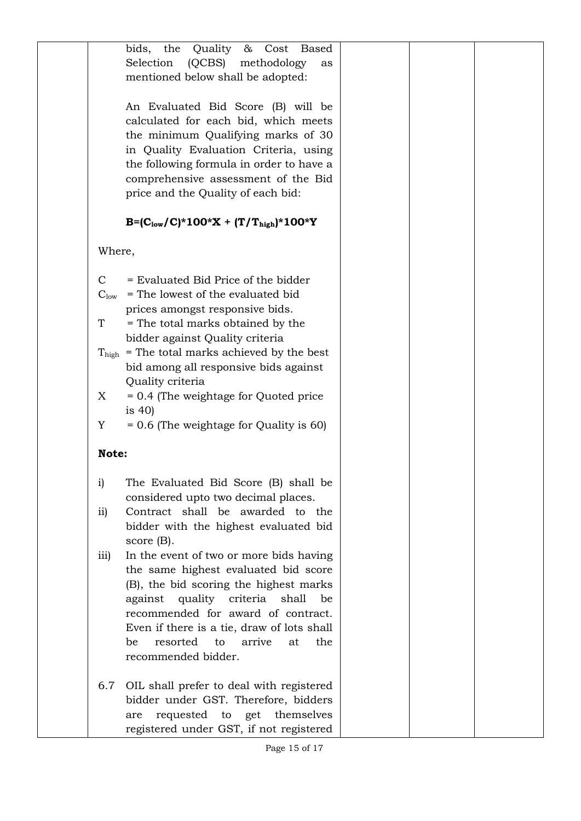|                  | the<br>&<br>Cost<br>bids,<br>Quality<br><b>Based</b>     |  |  |
|------------------|----------------------------------------------------------|--|--|
|                  | Selection<br>(QCBS)<br>methodology<br>as                 |  |  |
|                  | mentioned below shall be adopted:                        |  |  |
|                  |                                                          |  |  |
|                  |                                                          |  |  |
|                  | An Evaluated Bid Score (B) will be                       |  |  |
|                  | calculated for each bid, which meets                     |  |  |
|                  | the minimum Qualifying marks of 30                       |  |  |
|                  | in Quality Evaluation Criteria, using                    |  |  |
|                  | the following formula in order to have a                 |  |  |
|                  | comprehensive assessment of the Bid                      |  |  |
|                  | price and the Quality of each bid:                       |  |  |
|                  |                                                          |  |  |
|                  | $B = (C_{low}/C)^* 100^* X + (T/T_{high})^* 100^* Y$     |  |  |
| Where,           |                                                          |  |  |
|                  |                                                          |  |  |
| $\mathcal{C}$    | = Evaluated Bid Price of the bidder                      |  |  |
| $C_{\text{low}}$ | = The lowest of the evaluated bid                        |  |  |
|                  | prices amongst responsive bids.                          |  |  |
| T                |                                                          |  |  |
|                  | = The total marks obtained by the                        |  |  |
|                  | bidder against Quality criteria                          |  |  |
|                  | $T_{\text{high}}$ = The total marks achieved by the best |  |  |
|                  | bid among all responsive bids against                    |  |  |
|                  | Quality criteria                                         |  |  |
| X                | = 0.4 (The weightage for Quoted price                    |  |  |
|                  | is $40$                                                  |  |  |
| Y                | $= 0.6$ (The weightage for Quality is 60)                |  |  |
| Note:            |                                                          |  |  |
|                  |                                                          |  |  |
| $\mathbf{i}$     | The Evaluated Bid Score (B) shall be                     |  |  |
|                  | considered upto two decimal places.                      |  |  |
| $\overline{ii}$  | Contract shall be awarded to the                         |  |  |
|                  | bidder with the highest evaluated bid                    |  |  |
|                  | score $(B)$ .                                            |  |  |
| $\overline{111}$ | In the event of two or more bids having                  |  |  |
|                  | the same highest evaluated bid score                     |  |  |
|                  | (B), the bid scoring the highest marks                   |  |  |
|                  | quality criteria shall<br>against<br>be                  |  |  |
|                  | recommended for award of contract.                       |  |  |
|                  |                                                          |  |  |
|                  | Even if there is a tie, draw of lots shall               |  |  |
|                  | resorted<br>the<br>be<br>arrive<br>at<br>to              |  |  |
|                  | recommended bidder.                                      |  |  |
|                  |                                                          |  |  |
| 6.7              | OIL shall prefer to deal with registered                 |  |  |
|                  | bidder under GST. Therefore, bidders                     |  |  |
|                  | requested to get themselves<br>are                       |  |  |
|                  | registered under GST, if not registered                  |  |  |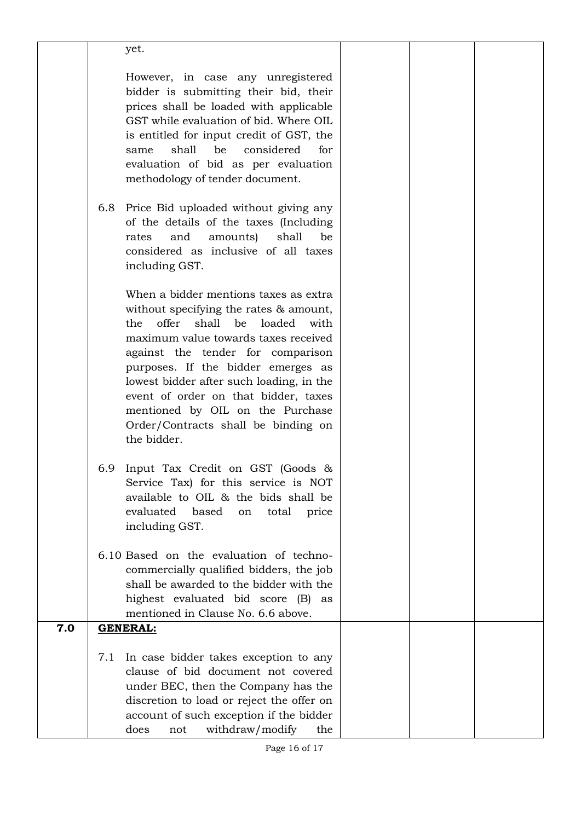|     |     | yet.                                                                                                                                                                                                                                                                                                                                                                                                                              |  |  |
|-----|-----|-----------------------------------------------------------------------------------------------------------------------------------------------------------------------------------------------------------------------------------------------------------------------------------------------------------------------------------------------------------------------------------------------------------------------------------|--|--|
|     |     | However, in case any unregistered<br>bidder is submitting their bid, their<br>prices shall be loaded with applicable<br>GST while evaluation of bid. Where OIL<br>is entitled for input credit of GST, the<br>shall<br>be<br>considered<br>for<br>same<br>evaluation of bid as per evaluation<br>methodology of tender document.                                                                                                  |  |  |
|     | 6.8 | Price Bid uploaded without giving any<br>of the details of the taxes (Including<br>amounts)<br>shall<br>and<br>be<br>rates<br>considered as inclusive of all taxes<br>including GST.                                                                                                                                                                                                                                              |  |  |
|     |     | When a bidder mentions taxes as extra<br>without specifying the rates & amount,<br>offer<br>shall<br>loaded<br>the<br>be<br>with<br>maximum value towards taxes received<br>against the tender for comparison<br>purposes. If the bidder emerges as<br>lowest bidder after such loading, in the<br>event of order on that bidder, taxes<br>mentioned by OIL on the Purchase<br>Order/Contracts shall be binding on<br>the bidder. |  |  |
|     | 6.9 | Input Tax Credit on GST (Goods &<br>Service Tax) for this service is NOT<br>available to OIL & the bids shall be<br>evaluated<br>based<br>on<br>total<br>price<br>including GST.                                                                                                                                                                                                                                                  |  |  |
|     |     | 6.10 Based on the evaluation of techno-<br>commercially qualified bidders, the job<br>shall be awarded to the bidder with the<br>highest evaluated bid score (B)<br>as<br>mentioned in Clause No. 6.6 above.                                                                                                                                                                                                                      |  |  |
| 7.0 |     | <b>GENERAL:</b>                                                                                                                                                                                                                                                                                                                                                                                                                   |  |  |
|     | 7.1 | In case bidder takes exception to any<br>clause of bid document not covered<br>under BEC, then the Company has the<br>discretion to load or reject the offer on<br>account of such exception if the bidder<br>withdraw/modify<br>does<br>the<br>not                                                                                                                                                                               |  |  |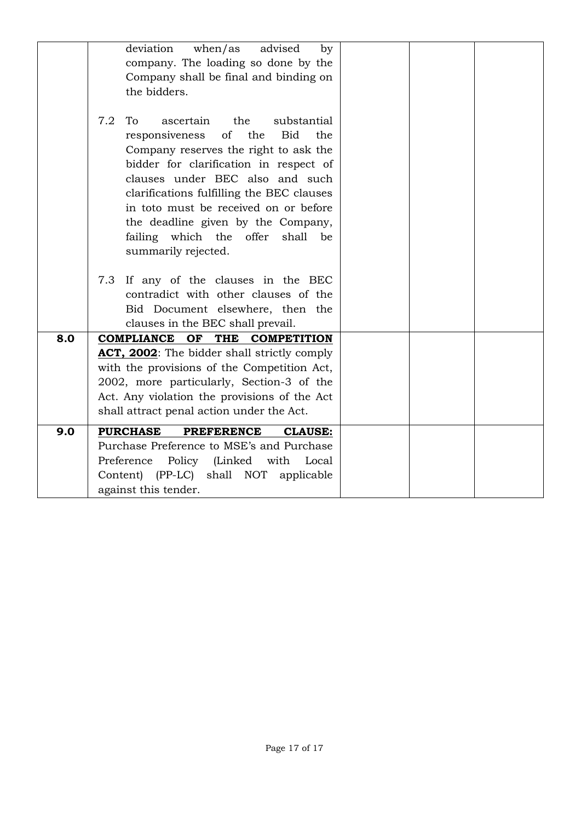|     | when/as<br>advised<br>deviation<br>by<br>company. The loading so done by the<br>Company shall be final and binding on<br>the bidders.                                                                                                                                                                                                                                                                  |  |
|-----|--------------------------------------------------------------------------------------------------------------------------------------------------------------------------------------------------------------------------------------------------------------------------------------------------------------------------------------------------------------------------------------------------------|--|
|     | 7.2<br>To<br>the<br>substantial<br>ascertain<br>responsiveness<br>of the<br>Bid<br>the<br>Company reserves the right to ask the<br>bidder for clarification in respect of<br>clauses under BEC also and such<br>clarifications fulfilling the BEC clauses<br>in toto must be received on or before<br>the deadline given by the Company,<br>failing which the offer shall<br>be<br>summarily rejected. |  |
|     | 7.3 If any of the clauses in the BEC<br>contradict with other clauses of the<br>Bid Document elsewhere, then the<br>clauses in the BEC shall prevail.                                                                                                                                                                                                                                                  |  |
| 8.0 | COMPLIANCE OF THE COMPETITION<br>ACT, 2002: The bidder shall strictly comply<br>with the provisions of the Competition Act,<br>2002, more particularly, Section-3 of the<br>Act. Any violation the provisions of the Act<br>shall attract penal action under the Act.                                                                                                                                  |  |
| 9.0 | <b>PURCHASE</b><br><b>PREFERENCE</b><br><b>CLAUSE:</b><br>Purchase Preference to MSE's and Purchase<br>Preference<br>Policy (Linked with<br>Local<br>Content) (PP-LC) shall NOT applicable<br>against this tender.                                                                                                                                                                                     |  |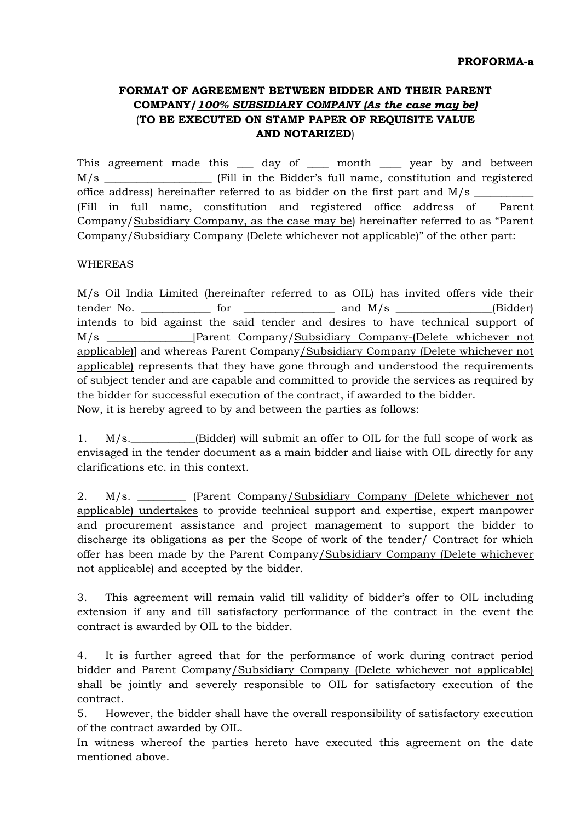# **FORMAT OF AGREEMENT BETWEEN BIDDER AND THEIR PARENT COMPANY/***100% SUBSIDIARY COMPANY (As the case may be)* (**TO BE EXECUTED ON STAMP PAPER OF REQUISITE VALUE AND NOTARIZED**)

This agreement made this \_\_\_ day of \_\_\_ month \_\_\_ year by and between M/s \_\_\_\_\_\_\_\_\_\_\_\_\_\_\_\_\_\_\_\_ (Fill in the Bidder's full name, constitution and registered office address) hereinafter referred to as bidder on the first part and  $M/s$ (Fill in full name, constitution and registered office address of Parent Company/Subsidiary Company, as the case may be) hereinafter referred to as "Parent Company/Subsidiary Company (Delete whichever not applicable)" of the other part:

#### WHEREAS

M/s Oil India Limited (hereinafter referred to as OIL) has invited offers vide their tender No.  $\qquad \qquad$  for  $\qquad \qquad$  and M/s  $\qquad \qquad$  (Bidder) intends to bid against the said tender and desires to have technical support of M/s \_\_\_\_\_\_\_\_\_\_\_\_\_\_\_\_[Parent Company/Subsidiary Company-(Delete whichever not applicable)] and whereas Parent Company/Subsidiary Company (Delete whichever not applicable) represents that they have gone through and understood the requirements of subject tender and are capable and committed to provide the services as required by the bidder for successful execution of the contract, if awarded to the bidder. Now, it is hereby agreed to by and between the parties as follows:

1. M/s. (Bidder) will submit an offer to OIL for the full scope of work as envisaged in the tender document as a main bidder and liaise with OIL directly for any clarifications etc. in this context.

2. M/s. \_\_\_\_\_\_\_\_\_ (Parent Company/Subsidiary Company (Delete whichever not applicable) undertakes to provide technical support and expertise, expert manpower and procurement assistance and project management to support the bidder to discharge its obligations as per the Scope of work of the tender/ Contract for which offer has been made by the Parent Company/Subsidiary Company (Delete whichever not applicable) and accepted by the bidder.

3. This agreement will remain valid till validity of bidder's offer to OIL including extension if any and till satisfactory performance of the contract in the event the contract is awarded by OIL to the bidder.

4. It is further agreed that for the performance of work during contract period bidder and Parent Company/Subsidiary Company (Delete whichever not applicable) shall be jointly and severely responsible to OIL for satisfactory execution of the contract.

5. However, the bidder shall have the overall responsibility of satisfactory execution of the contract awarded by OIL.

In witness whereof the parties hereto have executed this agreement on the date mentioned above.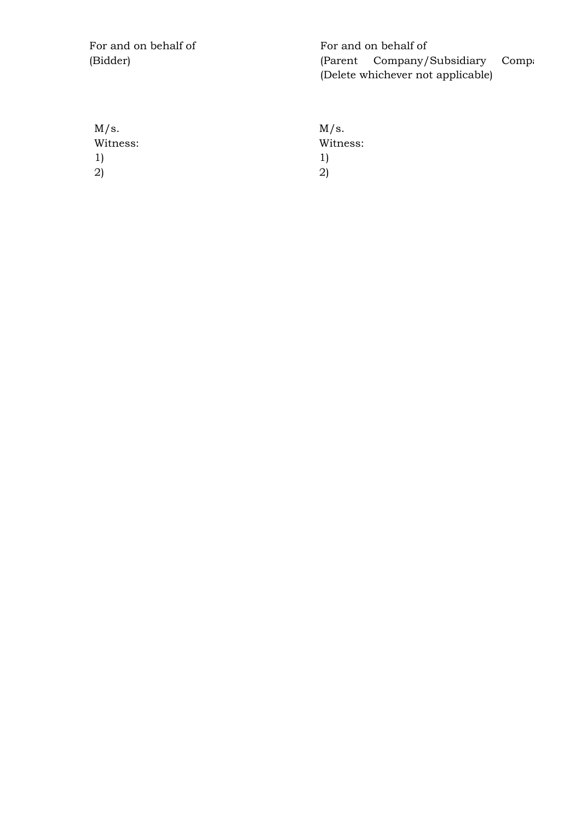For and on behalf of (Bidder)

For and on behalf of (Parent Company/Subsidiary Compa (Delete whichever not applicable)

| M/s.     |
|----------|
| Witness: |
| T)       |
| 21       |
|          |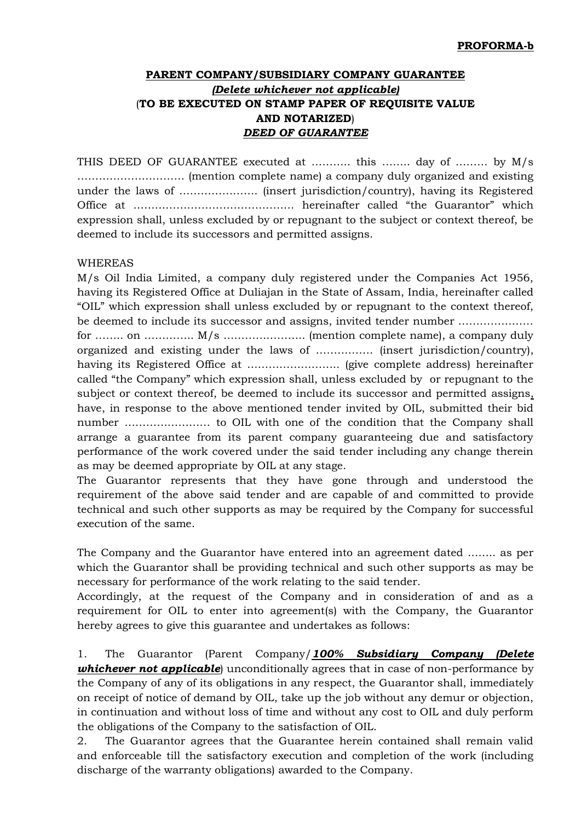# **PARENT COMPANY/SUBSIDIARY COMPANY GUARANTEE** *(Delete whichever not applicable)* (**TO BE EXECUTED ON STAMP PAPER OF REQUISITE VALUE AND NOTARIZED**) *DEED OF GUARANTEE*

THIS DEED OF GUARANTEE executed at ……….. this …….. day of ……… by M/s ………………………… (mention complete name) a company duly organized and existing under the laws of …………………. (insert jurisdiction/country), having its Registered Office at ……………………………………… hereinafter called "the Guarantor" which expression shall, unless excluded by or repugnant to the subject or context thereof, be deemed to include its successors and permitted assigns.

#### WHEREAS

M/s Oil India Limited, a company duly registered under the Companies Act 1956, having its Registered Office at Duliajan in the State of Assam, India, hereinafter called "OIL" which expression shall unless excluded by or repugnant to the context thereof, be deemed to include its successor and assigns, invited tender number ………………… for …….. on ………….. M/s ………………….. (mention complete name), a company duly organized and existing under the laws of ……………. (insert jurisdiction/country), having its Registered Office at …………………….. (give complete address) hereinafter called "the Company" which expression shall, unless excluded by or repugnant to the subject or context thereof, be deemed to include its successor and permitted assigns, have, in response to the above mentioned tender invited by OIL, submitted their bid number …………………… to OIL with one of the condition that the Company shall arrange a guarantee from its parent company guaranteeing due and satisfactory performance of the work covered under the said tender including any change therein as may be deemed appropriate by OIL at any stage.

The Guarantor represents that they have gone through and understood the requirement of the above said tender and are capable of and committed to provide technical and such other supports as may be required by the Company for successful execution of the same.

The Company and the Guarantor have entered into an agreement dated …….. as per which the Guarantor shall be providing technical and such other supports as may be necessary for performance of the work relating to the said tender.

Accordingly, at the request of the Company and in consideration of and as a requirement for OIL to enter into agreement(s) with the Company, the Guarantor hereby agrees to give this guarantee and undertakes as follows:

1. The Guarantor (Parent Company/*100% Subsidiary Company (Delete whichever not applicable*) unconditionally agrees that in case of non-performance by the Company of any of its obligations in any respect, the Guarantor shall, immediately on receipt of notice of demand by OIL, take up the job without any demur or objection, in continuation and without loss of time and without any cost to OIL and duly perform the obligations of the Company to the satisfaction of OIL.

2. The Guarantor agrees that the Guarantee herein contained shall remain valid and enforceable till the satisfactory execution and completion of the work (including discharge of the warranty obligations) awarded to the Company.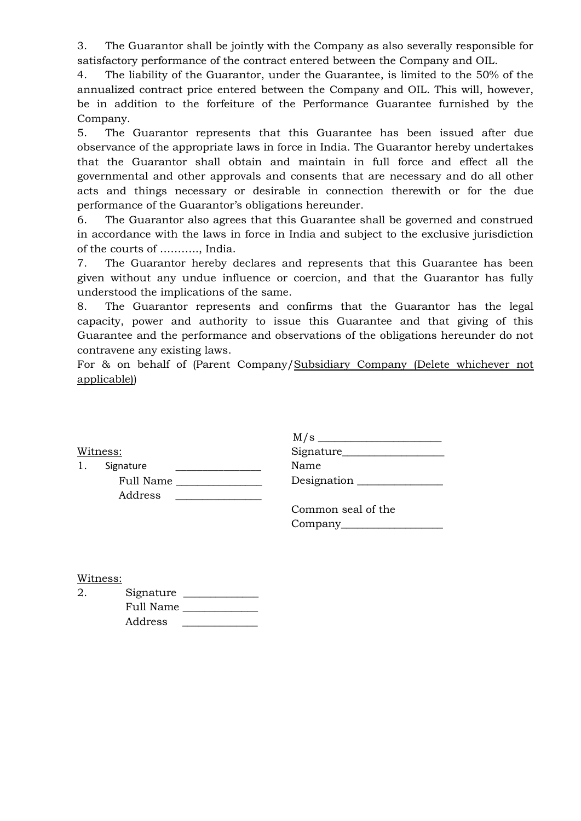3. The Guarantor shall be jointly with the Company as also severally responsible for satisfactory performance of the contract entered between the Company and OIL.

4. The liability of the Guarantor, under the Guarantee, is limited to the 50% of the annualized contract price entered between the Company and OIL. This will, however, be in addition to the forfeiture of the Performance Guarantee furnished by the Company.

5. The Guarantor represents that this Guarantee has been issued after due observance of the appropriate laws in force in India. The Guarantor hereby undertakes that the Guarantor shall obtain and maintain in full force and effect all the governmental and other approvals and consents that are necessary and do all other acts and things necessary or desirable in connection therewith or for the due performance of the Guarantor's obligations hereunder.

6. The Guarantor also agrees that this Guarantee shall be governed and construed in accordance with the laws in force in India and subject to the exclusive jurisdiction of the courts of ……….., India.

7. The Guarantor hereby declares and represents that this Guarantee has been given without any undue influence or coercion, and that the Guarantor has fully understood the implications of the same.

8. The Guarantor represents and confirms that the Guarantor has the legal capacity, power and authority to issue this Guarantee and that giving of this Guarantee and the performance and observations of the obligations hereunder do not contravene any existing laws.

For & on behalf of (Parent Company/Subsidiary Company (Delete whichever not applicable))

Witness:

1. Signature Full Name \_\_\_\_\_\_\_\_\_\_\_\_\_\_\_\_ Address \_\_\_\_\_\_\_\_\_\_\_\_\_\_\_\_

| M/s         |
|-------------|
| Signature_  |
| Name        |
| Designation |
|             |

| Common seal of the |  |
|--------------------|--|
| Company            |  |

Witness:

| 2. | Signature |
|----|-----------|
|    | Full Name |
|    | Address   |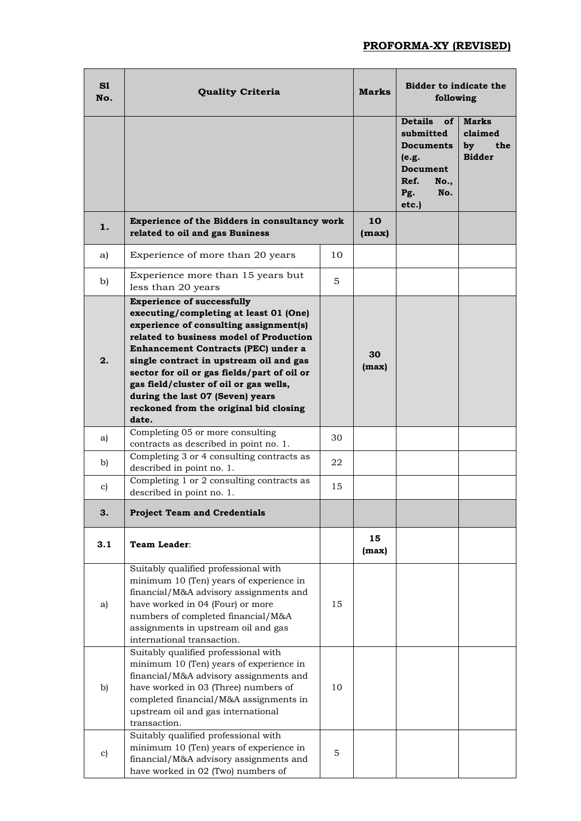## **PROFORMA-XY (REVISED)**

| S1<br>No.     | <b>Quality Criteria</b>                                                                                                                                                                                                                                                                                                                                                                                                            |    | <b>Marks</b> | Bidder to indicate the<br>following                                                                                                   |                                                       |
|---------------|------------------------------------------------------------------------------------------------------------------------------------------------------------------------------------------------------------------------------------------------------------------------------------------------------------------------------------------------------------------------------------------------------------------------------------|----|--------------|---------------------------------------------------------------------------------------------------------------------------------------|-------------------------------------------------------|
|               |                                                                                                                                                                                                                                                                                                                                                                                                                                    |    |              | <b>Details</b><br>of <sub>l</sub><br>submitted<br><b>Documents</b><br>(e.g.<br>Document<br>Ref.<br><b>No.,</b><br>Pg.<br>No.<br>etc.) | <b>Marks</b><br>claimed<br>by<br>the<br><b>Bidder</b> |
| 1.            | Experience of the Bidders in consultancy work<br>related to oil and gas Business                                                                                                                                                                                                                                                                                                                                                   |    | 10<br>(max)  |                                                                                                                                       |                                                       |
| a)            | Experience of more than 20 years                                                                                                                                                                                                                                                                                                                                                                                                   | 10 |              |                                                                                                                                       |                                                       |
| b)            | Experience more than 15 years but<br>less than 20 years                                                                                                                                                                                                                                                                                                                                                                            | 5  |              |                                                                                                                                       |                                                       |
| 2.            | <b>Experience of successfully</b><br>executing/completing at least 01 (One)<br>experience of consulting assignment(s)<br>related to business model of Production<br>Enhancement Contracts (PEC) under a<br>single contract in upstream oil and gas<br>sector for oil or gas fields/part of oil or<br>gas field/cluster of oil or gas wells,<br>during the last 07 (Seven) years<br>reckoned from the original bid closing<br>date. |    | 30<br>(max)  |                                                                                                                                       |                                                       |
| a)            | Completing 05 or more consulting<br>contracts as described in point no. 1.                                                                                                                                                                                                                                                                                                                                                         | 30 |              |                                                                                                                                       |                                                       |
| b)            | Completing 3 or 4 consulting contracts as<br>described in point no. 1.                                                                                                                                                                                                                                                                                                                                                             | 22 |              |                                                                                                                                       |                                                       |
| $\mathbf{c})$ | Completing 1 or 2 consulting contracts as<br>described in point no. 1.                                                                                                                                                                                                                                                                                                                                                             | 15 |              |                                                                                                                                       |                                                       |
| 3.            | <b>Project Team and Credentials</b>                                                                                                                                                                                                                                                                                                                                                                                                |    |              |                                                                                                                                       |                                                       |
| 3.1           | Team Leader:                                                                                                                                                                                                                                                                                                                                                                                                                       |    | 15<br>(max)  |                                                                                                                                       |                                                       |
| a)            | Suitably qualified professional with<br>minimum 10 (Ten) years of experience in<br>financial/M&A advisory assignments and<br>have worked in 04 (Four) or more<br>numbers of completed financial/M&A<br>assignments in upstream oil and gas<br>international transaction.                                                                                                                                                           | 15 |              |                                                                                                                                       |                                                       |
| b)            | Suitably qualified professional with<br>minimum 10 (Ten) years of experience in<br>financial/M&A advisory assignments and<br>have worked in 03 (Three) numbers of<br>completed financial/M&A assignments in<br>upstream oil and gas international<br>transaction.                                                                                                                                                                  | 10 |              |                                                                                                                                       |                                                       |
| $\mathbf{c})$ | Suitably qualified professional with<br>minimum 10 (Ten) years of experience in<br>financial/M&A advisory assignments and<br>have worked in 02 (Two) numbers of                                                                                                                                                                                                                                                                    | 5  |              |                                                                                                                                       |                                                       |